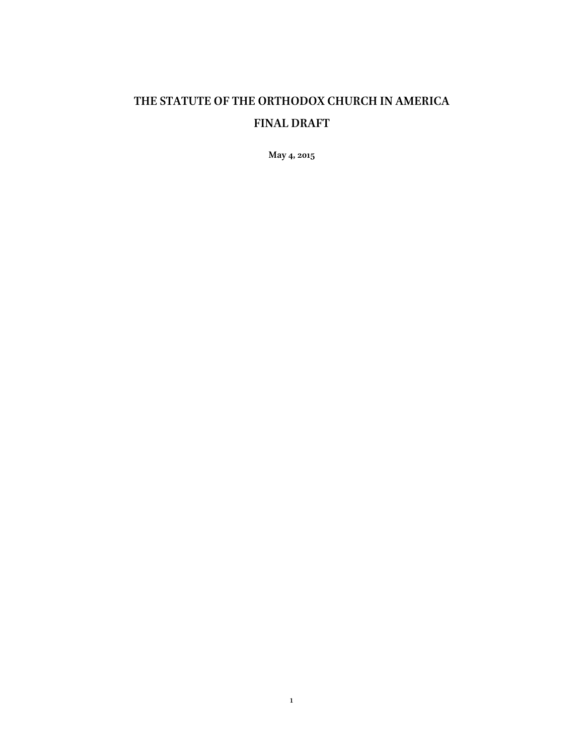# **THE STATUTE OF THE ORTHODOX CHURCH IN AMERICA FINAL DRAFT**

**May 4, 2015**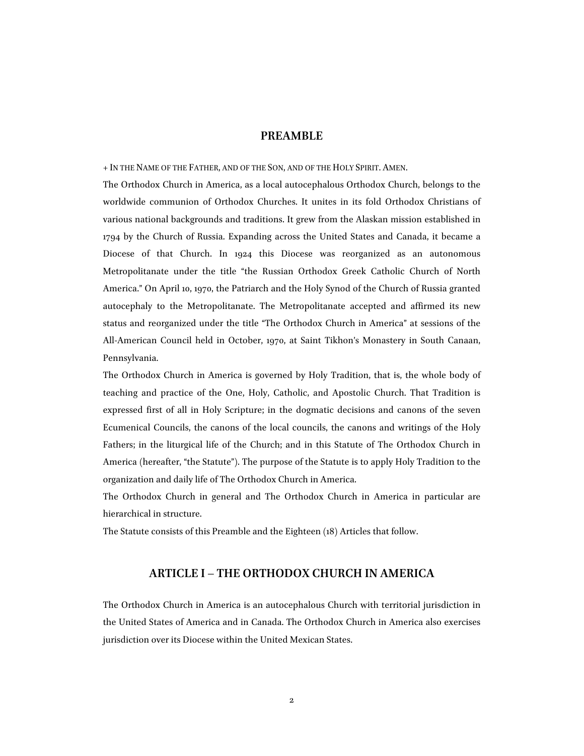# **PREAMBLE**

+ IN THE NAME OF THE FATHER, AND OF THE SON, AND OF THE HOLY SPIRIT. AMEN.

The Orthodox Church in America, as a local autocephalous Orthodox Church, belongs to the worldwide communion of Orthodox Churches. It unites in its fold Orthodox Christians of various national backgrounds and traditions. It grew from the Alaskan mission established in 1794 by the Church of Russia. Expanding across the United States and Canada, it became a Diocese of that Church. In 1924 this Diocese was reorganized as an autonomous Metropolitanate under the title "the Russian Orthodox Greek Catholic Church of North America." On April 10, 1970, the Patriarch and the Holy Synod of the Church of Russia granted autocephaly to the Metropolitanate. The Metropolitanate accepted and affirmed its new status and reorganized under the title "The Orthodox Church in America" at sessions of the All-American Council held in October, 1970, at Saint Tikhon's Monastery in South Canaan, Pennsylvania.

The Orthodox Church in America is governed by Holy Tradition, that is, the whole body of teaching and practice of the One, Holy, Catholic, and Apostolic Church. That Tradition is expressed first of all in Holy Scripture; in the dogmatic decisions and canons of the seven Ecumenical Councils, the canons of the local councils, the canons and writings of the Holy Fathers; in the liturgical life of the Church; and in this Statute of The Orthodox Church in America (hereafter, "the Statute"). The purpose of the Statute is to apply Holy Tradition to the organization and daily life of The Orthodox Church in America.

The Orthodox Church in general and The Orthodox Church in America in particular are hierarchical in structure.

The Statute consists of this Preamble and the Eighteen (18) Articles that follow.

# **ARTICLE I – THE ORTHODOX CHURCH IN AMERICA**

The Orthodox Church in America is an autocephalous Church with territorial jurisdiction in the United States of America and in Canada. The Orthodox Church in America also exercises jurisdiction over its Diocese within the United Mexican States.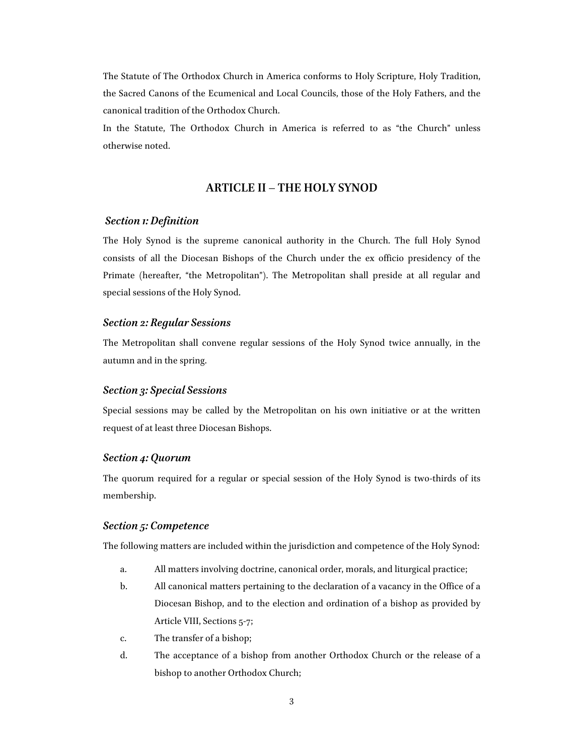The Statute of The Orthodox Church in America conforms to Holy Scripture, Holy Tradition, the Sacred Canons of the Ecumenical and Local Councils, those of the Holy Fathers, and the canonical tradition of the Orthodox Church.

In the Statute, The Orthodox Church in America is referred to as "the Church" unless otherwise noted.

# **ARTICLE II – THE HOLY SYNOD**

#### *Section 1: Definition*

The Holy Synod is the supreme canonical authority in the Church. The full Holy Synod consists of all the Diocesan Bishops of the Church under the ex officio presidency of the Primate (hereafter, "the Metropolitan"). The Metropolitan shall preside at all regular and special sessions of the Holy Synod.

# *Section 2: Regular Sessions*

The Metropolitan shall convene regular sessions of the Holy Synod twice annually, in the autumn and in the spring.

#### *Section 3: Special Sessions*

Special sessions may be called by the Metropolitan on his own initiative or at the written request of at least three Diocesan Bishops.

#### *Section 4: Quorum*

The quorum required for a regular or special session of the Holy Synod is two-thirds of its membership.

## *Section 5: Competence*

The following matters are included within the jurisdiction and competence of the Holy Synod:

- a. All matters involving doctrine, canonical order, morals, and liturgical practice;
- b. All canonical matters pertaining to the declaration of a vacancy in the Office of a Diocesan Bishop, and to the election and ordination of a bishop as provided by Article VIII, Sections 5-7;
- c. The transfer of a bishop;
- d. The acceptance of a bishop from another Orthodox Church or the release of a bishop to another Orthodox Church;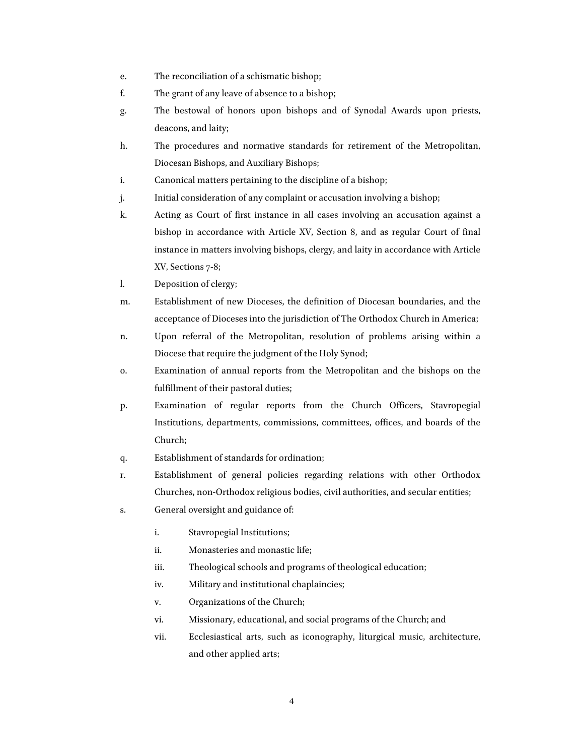- e. The reconciliation of a schismatic bishop;
- f. The grant of any leave of absence to a bishop;
- g. The bestowal of honors upon bishops and of Synodal Awards upon priests, deacons, and laity;
- h. The procedures and normative standards for retirement of the Metropolitan, Diocesan Bishops, and Auxiliary Bishops;
- i. Canonical matters pertaining to the discipline of a bishop;
- j. Initial consideration of any complaint or accusation involving a bishop;
- k. Acting as Court of first instance in all cases involving an accusation against a bishop in accordance with Article XV, Section 8, and as regular Court of final instance in matters involving bishops, clergy, and laity in accordance with Article XV, Sections 7-8;
- l. Deposition of clergy;
- m. Establishment of new Dioceses, the definition of Diocesan boundaries, and the acceptance of Dioceses into the jurisdiction of The Orthodox Church in America;
- n. Upon referral of the Metropolitan, resolution of problems arising within a Diocese that require the judgment of the Holy Synod;
- o. Examination of annual reports from the Metropolitan and the bishops on the fulfillment of their pastoral duties;
- p. Examination of regular reports from the Church Officers, Stavropegial Institutions, departments, commissions, committees, offices, and boards of the Church;
- q. Establishment of standards for ordination;
- r. Establishment of general policies regarding relations with other Orthodox Churches, non-Orthodox religious bodies, civil authorities, and secular entities;
- s. General oversight and guidance of:
	- i. Stavropegial Institutions;
	- ii. Monasteries and monastic life;
	- iii. Theological schools and programs of theological education;
	- iv. Military and institutional chaplaincies;
	- v. Organizations of the Church;
	- vi. Missionary, educational, and social programs of the Church; and
	- vii. Ecclesiastical arts, such as iconography, liturgical music, architecture, and other applied arts;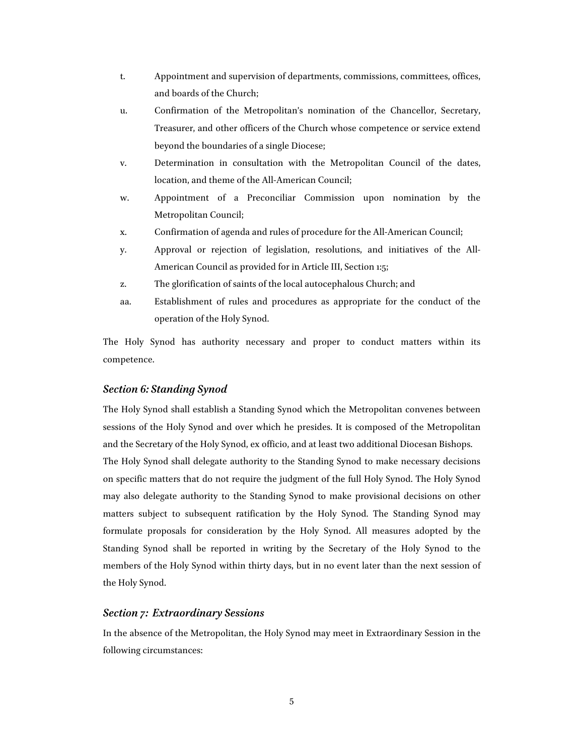- t. Appointment and supervision of departments, commissions, committees, offices, and boards of the Church;
- u. Confirmation of the Metropolitan's nomination of the Chancellor, Secretary, Treasurer, and other officers of the Church whose competence or service extend beyond the boundaries of a single Diocese;
- v. Determination in consultation with the Metropolitan Council of the dates, location, and theme of the All-American Council;
- w. Appointment of a Preconciliar Commission upon nomination by the Metropolitan Council;
- x. Confirmation of agenda and rules of procedure for the All-American Council;
- y. Approval or rejection of legislation, resolutions, and initiatives of the All-American Council as provided for in Article III, Section 1:5;
- z. The glorification of saints of the local autocephalous Church; and
- aa. Establishment of rules and procedures as appropriate for the conduct of the operation of the Holy Synod.

The Holy Synod has authority necessary and proper to conduct matters within its competence.

# *Section 6: Standing Synod*

The Holy Synod shall establish a Standing Synod which the Metropolitan convenes between sessions of the Holy Synod and over which he presides. It is composed of the Metropolitan and the Secretary of the Holy Synod, ex officio, and at least two additional Diocesan Bishops. The Holy Synod shall delegate authority to the Standing Synod to make necessary decisions on specific matters that do not require the judgment of the full Holy Synod. The Holy Synod may also delegate authority to the Standing Synod to make provisional decisions on other matters subject to subsequent ratification by the Holy Synod. The Standing Synod may formulate proposals for consideration by the Holy Synod. All measures adopted by the Standing Synod shall be reported in writing by the Secretary of the Holy Synod to the members of the Holy Synod within thirty days, but in no event later than the next session of the Holy Synod.

# *Section 7: Extraordinary Sessions*

In the absence of the Metropolitan, the Holy Synod may meet in Extraordinary Session in the following circumstances: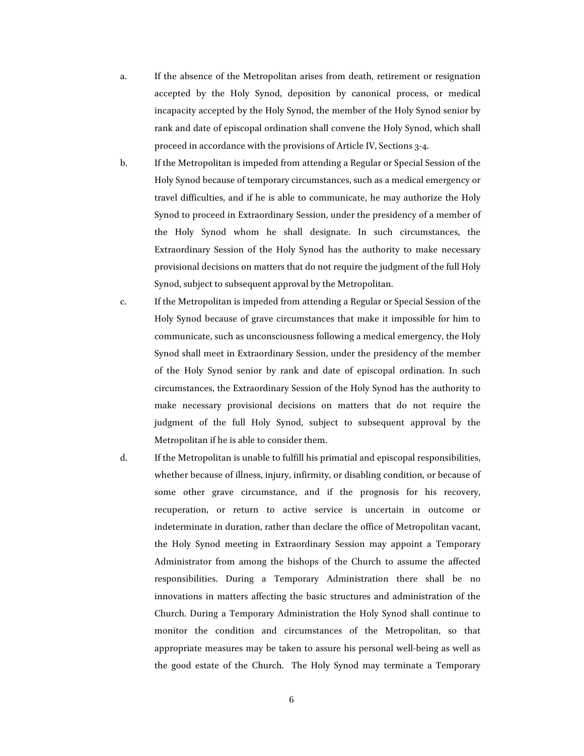- a. If the absence of the Metropolitan arises from death, retirement or resignation accepted by the Holy Synod, deposition by canonical process, or medical incapacity accepted by the Holy Synod, the member of the Holy Synod senior by rank and date of episcopal ordination shall convene the Holy Synod, which shall proceed in accordance with the provisions of Article IV, Sections 3-4.
- b. If the Metropolitan is impeded from attending a Regular or Special Session of the Holy Synod because of temporary circumstances, such as a medical emergency or travel difficulties, and if he is able to communicate, he may authorize the Holy Synod to proceed in Extraordinary Session, under the presidency of a member of the Holy Synod whom he shall designate. In such circumstances, the Extraordinary Session of the Holy Synod has the authority to make necessary provisional decisions on matters that do not require the judgment of the full Holy Synod, subject to subsequent approval by the Metropolitan.
- c. If the Metropolitan is impeded from attending a Regular or Special Session of the Holy Synod because of grave circumstances that make it impossible for him to communicate, such as unconsciousness following a medical emergency, the Holy Synod shall meet in Extraordinary Session, under the presidency of the member of the Holy Synod senior by rank and date of episcopal ordination. In such circumstances, the Extraordinary Session of the Holy Synod has the authority to make necessary provisional decisions on matters that do not require the judgment of the full Holy Synod, subject to subsequent approval by the Metropolitan if he is able to consider them.
- d. If the Metropolitan is unable to fulfill his primatial and episcopal responsibilities, whether because of illness, injury, infirmity, or disabling condition, or because of some other grave circumstance, and if the prognosis for his recovery, recuperation, or return to active service is uncertain in outcome or indeterminate in duration, rather than declare the office of Metropolitan vacant, the Holy Synod meeting in Extraordinary Session may appoint a Temporary Administrator from among the bishops of the Church to assume the affected responsibilities. During a Temporary Administration there shall be no innovations in matters affecting the basic structures and administration of the Church. During a Temporary Administration the Holy Synod shall continue to monitor the condition and circumstances of the Metropolitan, so that appropriate measures may be taken to assure his personal well-being as well as the good estate of the Church. The Holy Synod may terminate a Temporary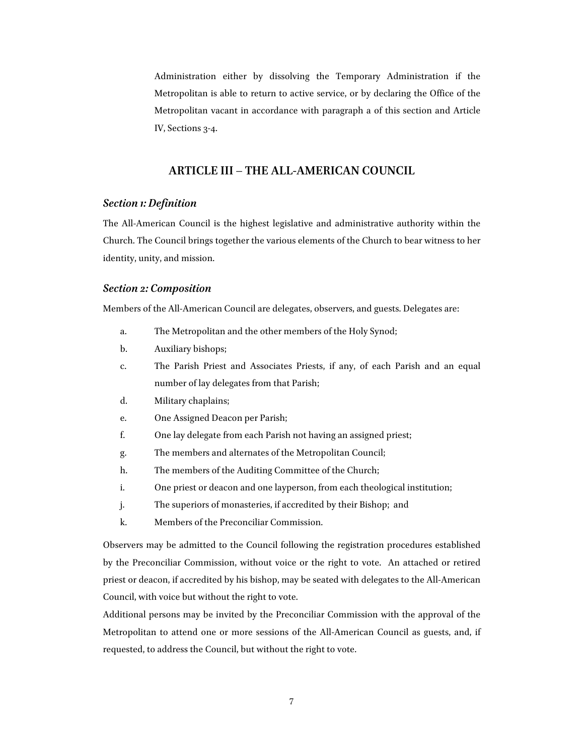Administration either by dissolving the Temporary Administration if the Metropolitan is able to return to active service, or by declaring the Office of the Metropolitan vacant in accordance with paragraph a of this section and Article IV, Sections 3-4.

# **ARTICLE III – THE ALL-AMERICAN COUNCIL**

### *Section 1: Definition*

The All-American Council is the highest legislative and administrative authority within the Church. The Council brings together the various elements of the Church to bear witness to her identity, unity, and mission.

# *Section 2: Composition*

Members of the All-American Council are delegates, observers, and guests. Delegates are:

- a. The Metropolitan and the other members of the Holy Synod;
- b. Auxiliary bishops;
- c. The Parish Priest and Associates Priests, if any, of each Parish and an equal number of lay delegates from that Parish;
- d. Military chaplains;
- e. One Assigned Deacon per Parish;
- f. One lay delegate from each Parish not having an assigned priest;
- g. The members and alternates of the Metropolitan Council;
- h. The members of the Auditing Committee of the Church;
- i. One priest or deacon and one layperson, from each theological institution;
- j. The superiors of monasteries, if accredited by their Bishop; and
- k. Members of the Preconciliar Commission.

Observers may be admitted to the Council following the registration procedures established by the Preconciliar Commission, without voice or the right to vote. An attached or retired priest or deacon, if accredited by his bishop, may be seated with delegates to the All-American Council, with voice but without the right to vote.

Additional persons may be invited by the Preconciliar Commission with the approval of the Metropolitan to attend one or more sessions of the All-American Council as guests, and, if requested, to address the Council, but without the right to vote.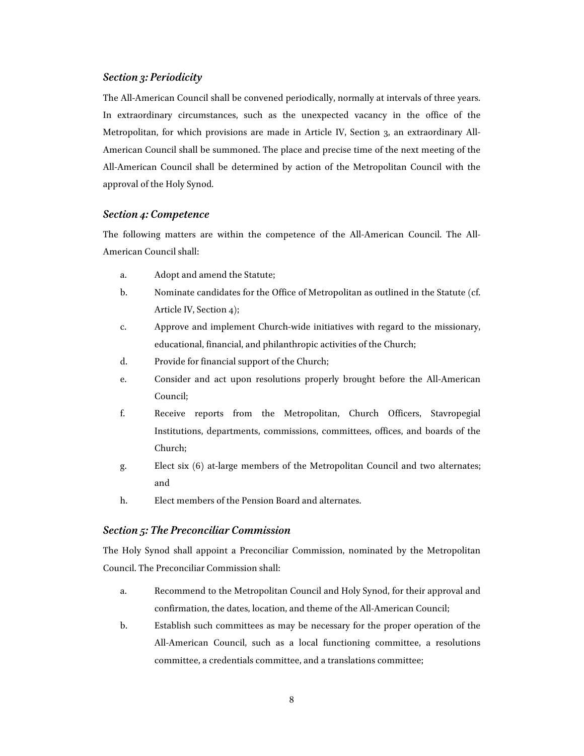## *Section 3: Periodicity*

The All-American Council shall be convened periodically, normally at intervals of three years. In extraordinary circumstances, such as the unexpected vacancy in the office of the Metropolitan, for which provisions are made in Article IV, Section 3, an extraordinary All-American Council shall be summoned. The place and precise time of the next meeting of the All-American Council shall be determined by action of the Metropolitan Council with the approval of the Holy Synod.

# *Section 4: Competence*

The following matters are within the competence of the All-American Council. The All-American Council shall:

- a. Adopt and amend the Statute;
- b. Nominate candidates for the Office of Metropolitan as outlined in the Statute (cf. Article IV, Section 4);
- c. Approve and implement Church-wide initiatives with regard to the missionary, educational, financial, and philanthropic activities of the Church;
- d. Provide for financial support of the Church;
- e. Consider and act upon resolutions properly brought before the All-American Council;
- f. Receive reports from the Metropolitan, Church Officers, Stavropegial Institutions, departments, commissions, committees, offices, and boards of the Church;
- g. Elect six (6) at-large members of the Metropolitan Council and two alternates; and
- h. Elect members of the Pension Board and alternates.

# *Section 5: The Preconciliar Commission*

The Holy Synod shall appoint a Preconciliar Commission, nominated by the Metropolitan Council. The Preconciliar Commission shall:

- a. Recommend to the Metropolitan Council and Holy Synod, for their approval and confirmation, the dates, location, and theme of the All-American Council;
- b. Establish such committees as may be necessary for the proper operation of the All-American Council, such as a local functioning committee, a resolutions committee, a credentials committee, and a translations committee;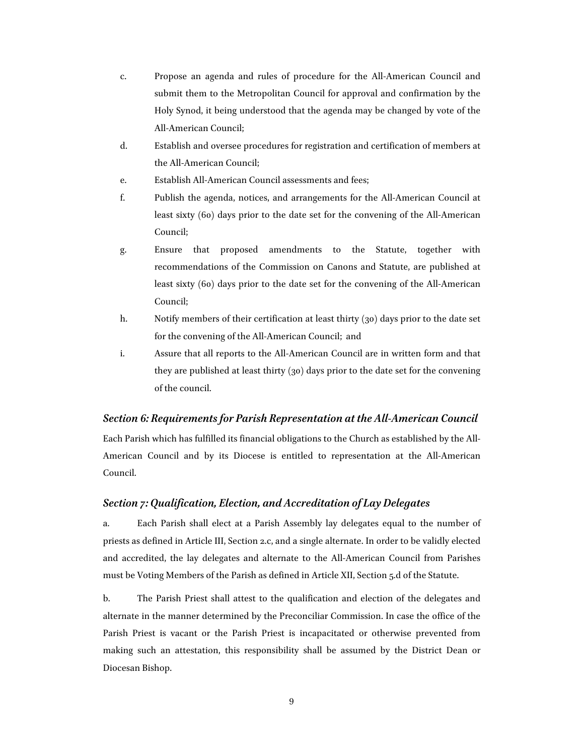- c. Propose an agenda and rules of procedure for the All-American Council and submit them to the Metropolitan Council for approval and confirmation by the Holy Synod, it being understood that the agenda may be changed by vote of the All-American Council;
- d. Establish and oversee procedures for registration and certification of members at the All-American Council;
- e. Establish All-American Council assessments and fees;
- f. Publish the agenda, notices, and arrangements for the All-American Council at least sixty (60) days prior to the date set for the convening of the All-American Council;
- g. Ensure that proposed amendments to the Statute, together with recommendations of the Commission on Canons and Statute, are published at least sixty (60) days prior to the date set for the convening of the All-American Council;
- h. Notify members of their certification at least thirty (30) days prior to the date set for the convening of the All-American Council; and
- i. Assure that all reports to the All-American Council are in written form and that they are published at least thirty (30) days prior to the date set for the convening of the council.

# *Section 6: Requirements for Parish Representation at the All-American Council*

Each Parish which has fulfilled its financial obligations to the Church as established by the All-American Council and by its Diocese is entitled to representation at the All-American Council.

#### *Section 7: Qualification, Election, and Accreditation of Lay Delegates*

a. Each Parish shall elect at a Parish Assembly lay delegates equal to the number of priests as defined in Article III, Section 2.c, and a single alternate. In order to be validly elected and accredited, the lay delegates and alternate to the All-American Council from Parishes must be Voting Members of the Parish as defined in Article XII, Section 5.d of the Statute.

b. The Parish Priest shall attest to the qualification and election of the delegates and alternate in the manner determined by the Preconciliar Commission. In case the office of the Parish Priest is vacant or the Parish Priest is incapacitated or otherwise prevented from making such an attestation, this responsibility shall be assumed by the District Dean or Diocesan Bishop.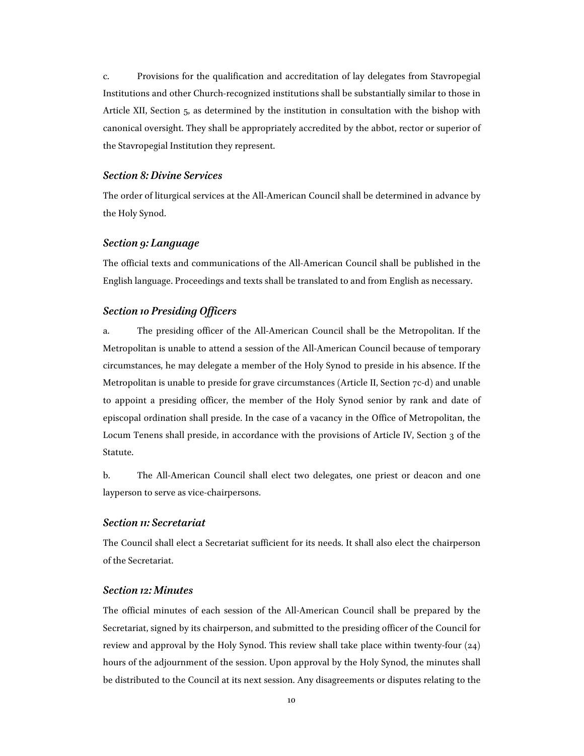c. Provisions for the qualification and accreditation of lay delegates from Stavropegial Institutions and other Church-recognized institutions shall be substantially similar to those in Article XII, Section 5, as determined by the institution in consultation with the bishop with canonical oversight. They shall be appropriately accredited by the abbot, rector or superior of the Stavropegial Institution they represent.

#### *Section 8: Divine Services*

The order of liturgical services at the All-American Council shall be determined in advance by the Holy Synod.

#### *Section 9: Language*

The official texts and communications of the All-American Council shall be published in the English language. Proceedings and texts shall be translated to and from English as necessary.

# *Section 10 Presiding Officers*

a. The presiding officer of the All-American Council shall be the Metropolitan. If the Metropolitan is unable to attend a session of the All-American Council because of temporary circumstances, he may delegate a member of the Holy Synod to preside in his absence. If the Metropolitan is unable to preside for grave circumstances (Article II, Section 7c-d) and unable to appoint a presiding officer, the member of the Holy Synod senior by rank and date of episcopal ordination shall preside. In the case of a vacancy in the Office of Metropolitan, the Locum Tenens shall preside, in accordance with the provisions of Article IV, Section 3 of the Statute.

b. The All-American Council shall elect two delegates, one priest or deacon and one layperson to serve as vice-chairpersons.

#### *Section 11: Secretariat*

The Council shall elect a Secretariat sufficient for its needs. It shall also elect the chairperson of the Secretariat.

# *Section 12: Minutes*

The official minutes of each session of the All-American Council shall be prepared by the Secretariat, signed by its chairperson, and submitted to the presiding officer of the Council for review and approval by the Holy Synod. This review shall take place within twenty-four (24) hours of the adjournment of the session. Upon approval by the Holy Synod, the minutes shall be distributed to the Council at its next session. Any disagreements or disputes relating to the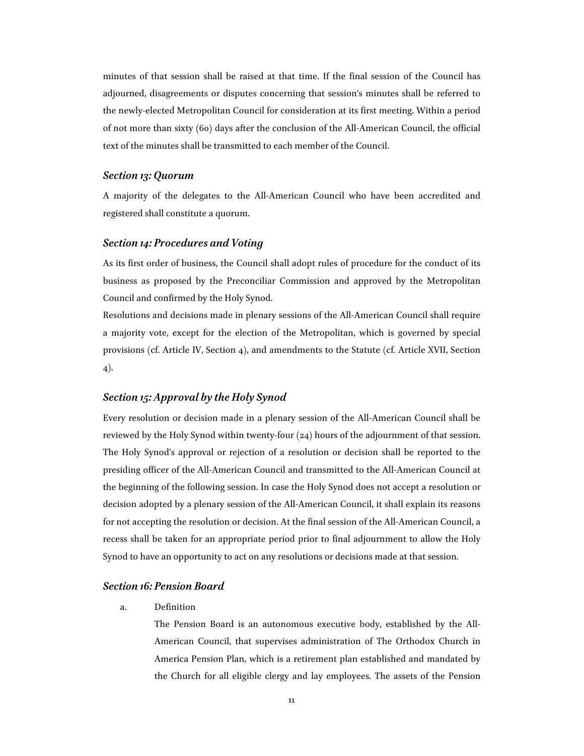minutes of that session shall be raised at that time. If the final session of the Council has adjourned, disagreements or disputes concerning that session's minutes shall be referred to the newly-elected Metropolitan Council for consideration at its first meeting. Within a period of not more than sixty (60) days after the conclusion of the All-American Council, the official text of the minutes shall be transmitted to each member of the Council.

# *Section 13: Quorum*

A majority of the delegates to the All-American Council who have been accredited and registered shall constitute a quorum.

# *Section 14: Procedures and Voting*

As its first order of business, the Council shall adopt rules of procedure for the conduct of its business as proposed by the Preconciliar Commission and approved by the Metropolitan Council and confirmed by the Holy Synod.

Resolutions and decisions made in plenary sessions of the All-American Council shall require a majority vote, except for the election of the Metropolitan, which is governed by special provisions (cf. Article IV, Section 4), and amendments to the Statute (cf. Article XVII, Section 4).

# *Section 15: Approval by the Holy Synod*

Every resolution or decision made in a plenary session of the All-American Council shall be reviewed by the Holy Synod within twenty-four (24) hours of the adjournment of that session. The Holy Synod's approval or rejection of a resolution or decision shall be reported to the presiding officer of the All-American Council and transmitted to the All-American Council at the beginning of the following session. In case the Holy Synod does not accept a resolution or decision adopted by a plenary session of the All-American Council, it shall explain its reasons for not accepting the resolution or decision. At the final session of the All-American Council, a recess shall be taken for an appropriate period prior to final adjournment to allow the Holy Synod to have an opportunity to act on any resolutions or decisions made at that session.

#### *Section 16: Pension Board*

### a. Definition

The Pension Board is an autonomous executive body, established by the All-American Council, that supervises administration of The Orthodox Church in America Pension Plan, which is a retirement plan established and mandated by the Church for all eligible clergy and lay employees. The assets of the Pension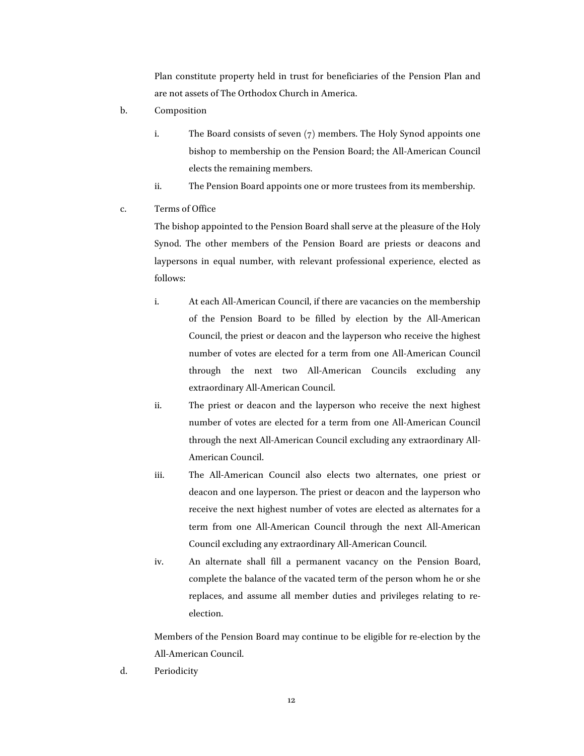Plan constitute property held in trust for beneficiaries of the Pension Plan and are not assets of The Orthodox Church in America.

- b. Composition
	- i. The Board consists of seven (7) members. The Holy Synod appoints one bishop to membership on the Pension Board; the All-American Council elects the remaining members.
	- ii. The Pension Board appoints one or more trustees from its membership.
- c. Terms of Office

The bishop appointed to the Pension Board shall serve at the pleasure of the Holy Synod. The other members of the Pension Board are priests or deacons and laypersons in equal number, with relevant professional experience, elected as follows:

- i. At each All-American Council, if there are vacancies on the membership of the Pension Board to be filled by election by the All-American Council, the priest or deacon and the layperson who receive the highest number of votes are elected for a term from one All-American Council through the next two All-American Councils excluding any extraordinary All-American Council.
- ii. The priest or deacon and the layperson who receive the next highest number of votes are elected for a term from one All-American Council through the next All-American Council excluding any extraordinary All-American Council.
- iii. The All-American Council also elects two alternates, one priest or deacon and one layperson. The priest or deacon and the layperson who receive the next highest number of votes are elected as alternates for a term from one All-American Council through the next All-American Council excluding any extraordinary All-American Council.
- iv. An alternate shall fill a permanent vacancy on the Pension Board, complete the balance of the vacated term of the person whom he or she replaces, and assume all member duties and privileges relating to reelection.

Members of the Pension Board may continue to be eligible for re-election by the All-American Council.

d. Periodicity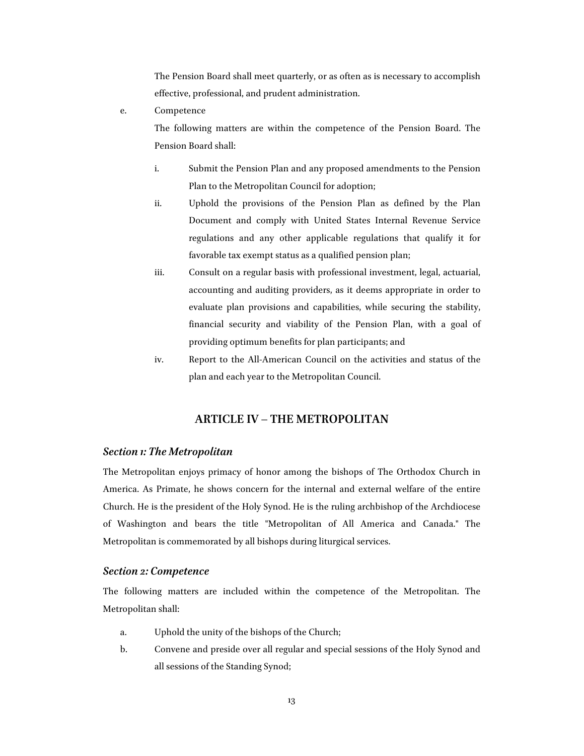The Pension Board shall meet quarterly, or as often as is necessary to accomplish effective, professional, and prudent administration.

e. Competence

The following matters are within the competence of the Pension Board. The Pension Board shall:

- i. Submit the Pension Plan and any proposed amendments to the Pension Plan to the Metropolitan Council for adoption;
- ii. Uphold the provisions of the Pension Plan as defined by the Plan Document and comply with United States Internal Revenue Service regulations and any other applicable regulations that qualify it for favorable tax exempt status as a qualified pension plan;
- iii. Consult on a regular basis with professional investment, legal, actuarial, accounting and auditing providers, as it deems appropriate in order to evaluate plan provisions and capabilities, while securing the stability, financial security and viability of the Pension Plan, with a goal of providing optimum benefits for plan participants; and
- iv. Report to the All-American Council on the activities and status of the plan and each year to the Metropolitan Council.

# **ARTICLE IV – THE METROPOLITAN**

#### *Section 1: The Metropolitan*

The Metropolitan enjoys primacy of honor among the bishops of The Orthodox Church in America. As Primate, he shows concern for the internal and external welfare of the entire Church. He is the president of the Holy Synod. He is the ruling archbishop of the Archdiocese of Washington and bears the title "Metropolitan of All America and Canada." The Metropolitan is commemorated by all bishops during liturgical services.

#### *Section 2: Competence*

The following matters are included within the competence of the Metropolitan. The Metropolitan shall:

- a. Uphold the unity of the bishops of the Church;
- b. Convene and preside over all regular and special sessions of the Holy Synod and all sessions of the Standing Synod;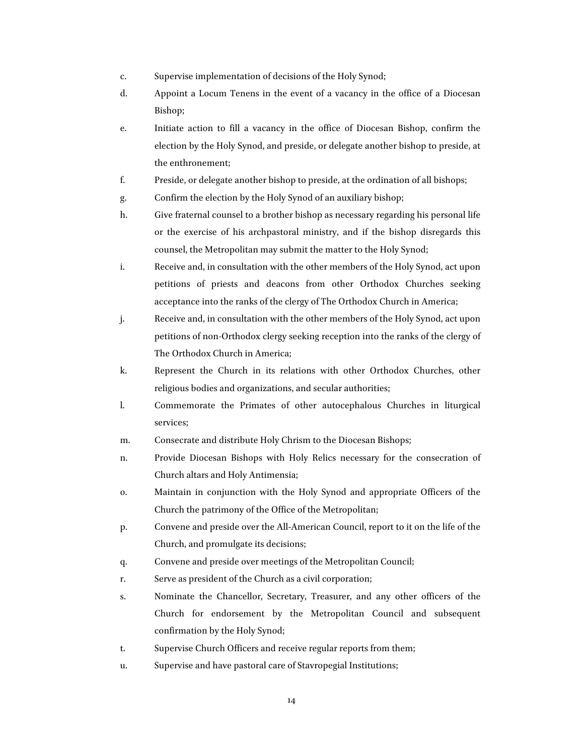- c. Supervise implementation of decisions of the Holy Synod;
- d. Appoint a Locum Tenens in the event of a vacancy in the office of a Diocesan Bishop;
- e. Initiate action to fill a vacancy in the office of Diocesan Bishop, confirm the election by the Holy Synod, and preside, or delegate another bishop to preside, at the enthronement;
- f. Preside, or delegate another bishop to preside, at the ordination of all bishops;
- g. Confirm the election by the Holy Synod of an auxiliary bishop;
- h. Give fraternal counsel to a brother bishop as necessary regarding his personal life or the exercise of his archpastoral ministry, and if the bishop disregards this counsel, the Metropolitan may submit the matter to the Holy Synod;
- i. Receive and, in consultation with the other members of the Holy Synod, act upon petitions of priests and deacons from other Orthodox Churches seeking acceptance into the ranks of the clergy of The Orthodox Church in America;
- j. Receive and, in consultation with the other members of the Holy Synod, act upon petitions of non-Orthodox clergy seeking reception into the ranks of the clergy of The Orthodox Church in America;
- k. Represent the Church in its relations with other Orthodox Churches, other religious bodies and organizations, and secular authorities;
- l. Commemorate the Primates of other autocephalous Churches in liturgical services;
- m. Consecrate and distribute Holy Chrism to the Diocesan Bishops;
- n. Provide Diocesan Bishops with Holy Relics necessary for the consecration of Church altars and Holy Antimensia;
- o. Maintain in conjunction with the Holy Synod and appropriate Officers of the Church the patrimony of the Office of the Metropolitan;
- p. Convene and preside over the All-American Council, report to it on the life of the Church, and promulgate its decisions;
- q. Convene and preside over meetings of the Metropolitan Council;
- r. Serve as president of the Church as a civil corporation;
- s. Nominate the Chancellor, Secretary, Treasurer, and any other officers of the Church for endorsement by the Metropolitan Council and subsequent confirmation by the Holy Synod;
- t. Supervise Church Officers and receive regular reports from them;
- u. Supervise and have pastoral care of Stavropegial Institutions;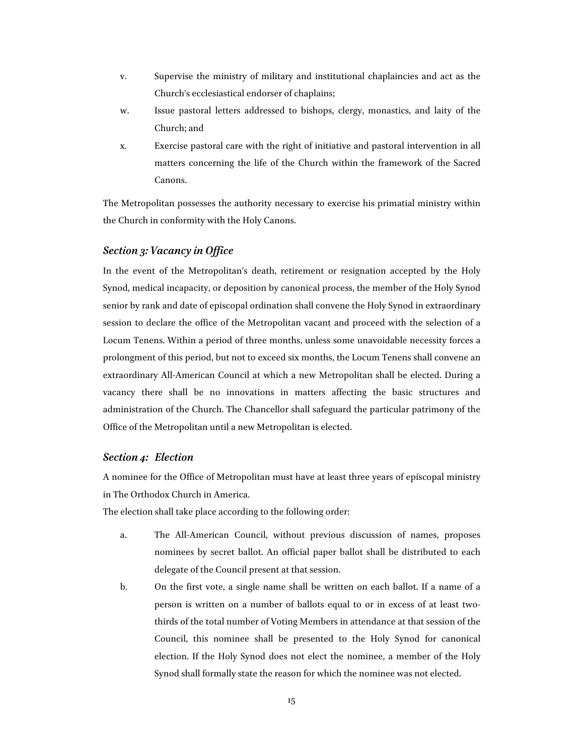- v. Supervise the ministry of military and institutional chaplaincies and act as the Church's ecclesiastical endorser of chaplains;
- w. Issue pastoral letters addressed to bishops, clergy, monastics, and laity of the Church; and
- x. Exercise pastoral care with the right of initiative and pastoral intervention in all matters concerning the life of the Church within the framework of the Sacred Canons.

The Metropolitan possesses the authority necessary to exercise his primatial ministry within the Church in conformity with the Holy Canons.

# *Section 3: Vacancy in Office*

In the event of the Metropolitan's death, retirement or resignation accepted by the Holy Synod, medical incapacity, or deposition by canonical process, the member of the Holy Synod senior by rank and date of episcopal ordination shall convene the Holy Synod in extraordinary session to declare the office of the Metropolitan vacant and proceed with the selection of a Locum Tenens. Within a period of three months, unless some unavoidable necessity forces a prolongment of this period, but not to exceed six months, the Locum Tenens shall convene an extraordinary All-American Council at which a new Metropolitan shall be elected. During a vacancy there shall be no innovations in matters affecting the basic structures and administration of the Church. The Chancellor shall safeguard the particular patrimony of the Office of the Metropolitan until a new Metropolitan is elected.

#### *Section 4: Election*

A nominee for the Office of Metropolitan must have at least three years of episcopal ministry in The Orthodox Church in America.

The election shall take place according to the following order:

- a. The All-American Council, without previous discussion of names, proposes nominees by secret ballot. An official paper ballot shall be distributed to each delegate of the Council present at that session.
- b. On the first vote, a single name shall be written on each ballot. If a name of a person is written on a number of ballots equal to or in excess of at least twothirds of the total number of Voting Members in attendance at that session of the Council, this nominee shall be presented to the Holy Synod for canonical election. If the Holy Synod does not elect the nominee, a member of the Holy Synod shall formally state the reason for which the nominee was not elected.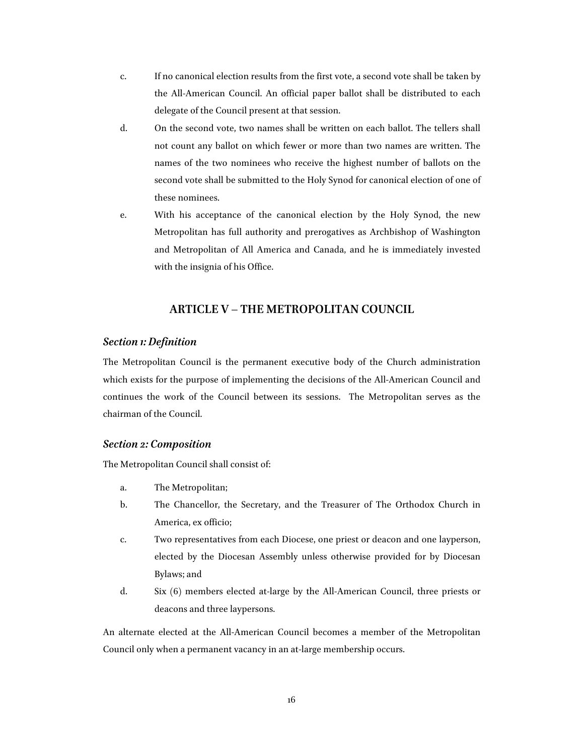- c. If no canonical election results from the first vote, a second vote shall be taken by the All-American Council. An official paper ballot shall be distributed to each delegate of the Council present at that session.
- d. On the second vote, two names shall be written on each ballot. The tellers shall not count any ballot on which fewer or more than two names are written. The names of the two nominees who receive the highest number of ballots on the second vote shall be submitted to the Holy Synod for canonical election of one of these nominees.
- e. With his acceptance of the canonical election by the Holy Synod, the new Metropolitan has full authority and prerogatives as Archbishop of Washington and Metropolitan of All America and Canada, and he is immediately invested with the insignia of his Office.

# **ARTICLE V – THE METROPOLITAN COUNCIL**

#### *Section 1: Definition*

The Metropolitan Council is the permanent executive body of the Church administration which exists for the purpose of implementing the decisions of the All-American Council and continues the work of the Council between its sessions. The Metropolitan serves as the chairman of the Council.

# *Section 2: Composition*

The Metropolitan Council shall consist of:

- a. The Metropolitan;
- b. The Chancellor, the Secretary, and the Treasurer of The Orthodox Church in America, ex officio;
- c. Two representatives from each Diocese, one priest or deacon and one layperson, elected by the Diocesan Assembly unless otherwise provided for by Diocesan Bylaws; and
- d. Six (6) members elected at-large by the All-American Council, three priests or deacons and three laypersons.

An alternate elected at the All-American Council becomes a member of the Metropolitan Council only when a permanent vacancy in an at-large membership occurs.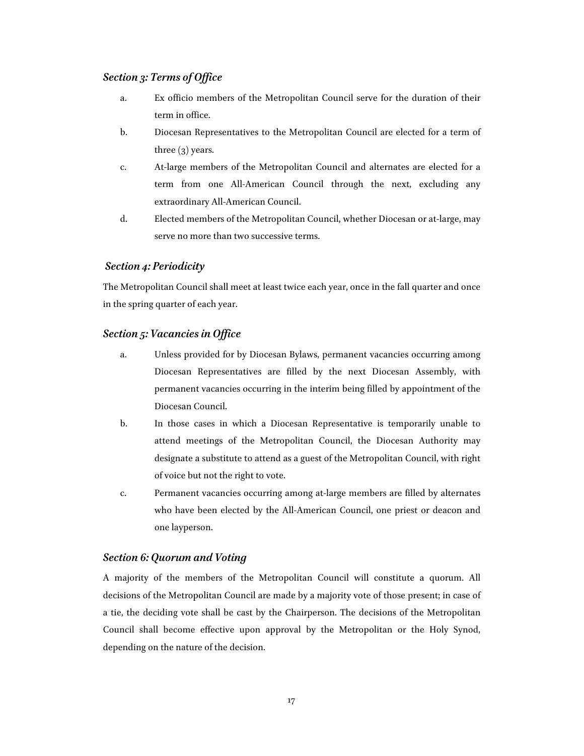# *Section 3: Terms of Office*

- a. Ex officio members of the Metropolitan Council serve for the duration of their term in office.
- b. Diocesan Representatives to the Metropolitan Council are elected for a term of three  $(3)$  years.
- c. At-large members of the Metropolitan Council and alternates are elected for a term from one All-American Council through the next, excluding any extraordinary All-American Council.
- d. Elected members of the Metropolitan Council, whether Diocesan or at-large, may serve no more than two successive terms.

# *Section 4: Periodicity*

The Metropolitan Council shall meet at least twice each year, once in the fall quarter and once in the spring quarter of each year.

### *Section 5: Vacancies in Office*

- a. Unless provided for by Diocesan Bylaws, permanent vacancies occurring among Diocesan Representatives are filled by the next Diocesan Assembly, with permanent vacancies occurring in the interim being filled by appointment of the Diocesan Council.
- b. In those cases in which a Diocesan Representative is temporarily unable to attend meetings of the Metropolitan Council, the Diocesan Authority may designate a substitute to attend as a guest of the Metropolitan Council, with right of voice but not the right to vote.
- c. Permanent vacancies occurring among at-large members are filled by alternates who have been elected by the All-American Council, one priest or deacon and one layperson.

#### *Section 6: Quorum and Voting*

A majority of the members of the Metropolitan Council will constitute a quorum. All decisions of the Metropolitan Council are made by a majority vote of those present; in case of a tie, the deciding vote shall be cast by the Chairperson. The decisions of the Metropolitan Council shall become effective upon approval by the Metropolitan or the Holy Synod, depending on the nature of the decision.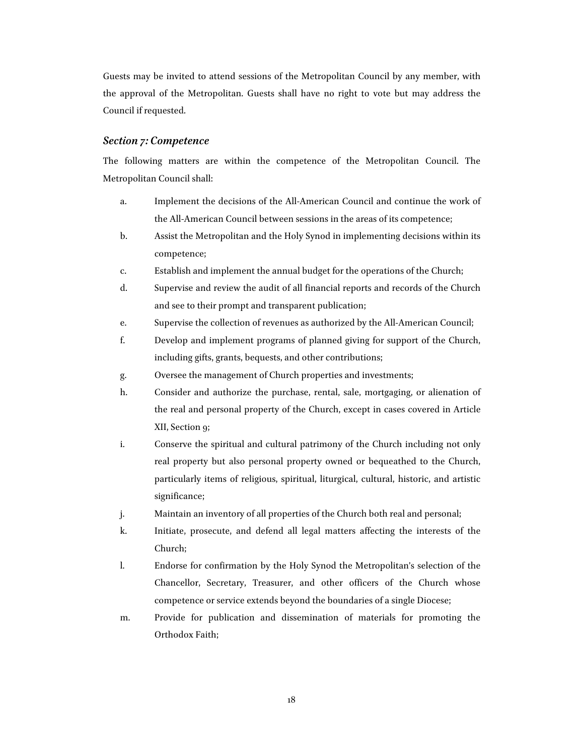Guests may be invited to attend sessions of the Metropolitan Council by any member, with the approval of the Metropolitan. Guests shall have no right to vote but may address the Council if requested.

#### *Section 7: Competence*

The following matters are within the competence of the Metropolitan Council. The Metropolitan Council shall:

- a. Implement the decisions of the All-American Council and continue the work of the All-American Council between sessions in the areas of its competence;
- b. Assist the Metropolitan and the Holy Synod in implementing decisions within its competence;
- c. Establish and implement the annual budget for the operations of the Church;
- d. Supervise and review the audit of all financial reports and records of the Church and see to their prompt and transparent publication;
- e. Supervise the collection of revenues as authorized by the All-American Council;
- f. Develop and implement programs of planned giving for support of the Church, including gifts, grants, bequests, and other contributions;
- g. Oversee the management of Church properties and investments;
- h. Consider and authorize the purchase, rental, sale, mortgaging, or alienation of the real and personal property of the Church, except in cases covered in Article XII, Section 9;
- i. Conserve the spiritual and cultural patrimony of the Church including not only real property but also personal property owned or bequeathed to the Church, particularly items of religious, spiritual, liturgical, cultural, historic, and artistic significance;
- j. Maintain an inventory of all properties of the Church both real and personal;
- k. Initiate, prosecute, and defend all legal matters affecting the interests of the Church;
- l. Endorse for confirmation by the Holy Synod the Metropolitan's selection of the Chancellor, Secretary, Treasurer, and other officers of the Church whose competence or service extends beyond the boundaries of a single Diocese;
- m. Provide for publication and dissemination of materials for promoting the Orthodox Faith;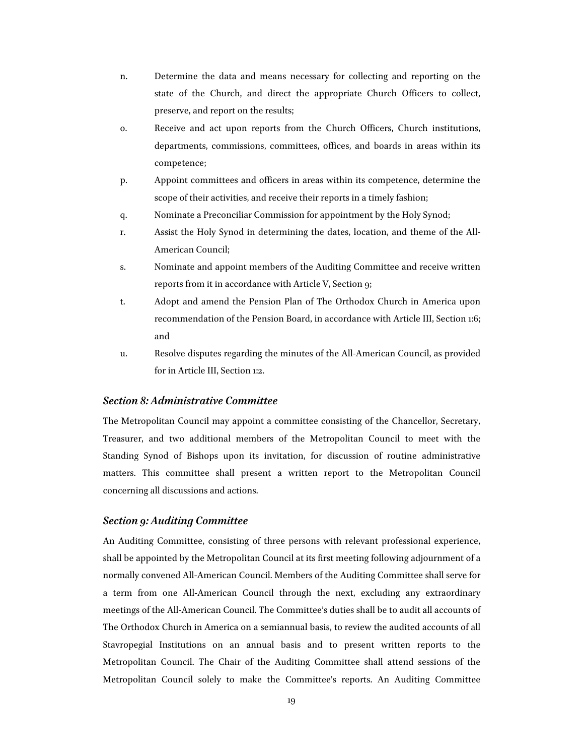- n. Determine the data and means necessary for collecting and reporting on the state of the Church, and direct the appropriate Church Officers to collect, preserve, and report on the results;
- o. Receive and act upon reports from the Church Officers, Church institutions, departments, commissions, committees, offices, and boards in areas within its competence;
- p. Appoint committees and officers in areas within its competence, determine the scope of their activities, and receive their reports in a timely fashion;
- q. Nominate a Preconciliar Commission for appointment by the Holy Synod;
- r. Assist the Holy Synod in determining the dates, location, and theme of the All-American Council;
- s. Nominate and appoint members of the Auditing Committee and receive written reports from it in accordance with Article V, Section 9;
- t. Adopt and amend the Pension Plan of The Orthodox Church in America upon recommendation of the Pension Board, in accordance with Article III, Section 1:6; and
- u. Resolve disputes regarding the minutes of the All-American Council, as provided for in Article III, Section 1:2.

# *Section 8: Administrative Committee*

The Metropolitan Council may appoint a committee consisting of the Chancellor, Secretary, Treasurer, and two additional members of the Metropolitan Council to meet with the Standing Synod of Bishops upon its invitation, for discussion of routine administrative matters. This committee shall present a written report to the Metropolitan Council concerning all discussions and actions.

# *Section 9: Auditing Committee*

An Auditing Committee, consisting of three persons with relevant professional experience, shall be appointed by the Metropolitan Council at its first meeting following adjournment of a normally convened All-American Council. Members of the Auditing Committee shall serve for a term from one All-American Council through the next, excluding any extraordinary meetings of the All-American Council. The Committee's duties shall be to audit all accounts of The Orthodox Church in America on a semiannual basis, to review the audited accounts of all Stavropegial Institutions on an annual basis and to present written reports to the Metropolitan Council. The Chair of the Auditing Committee shall attend sessions of the Metropolitan Council solely to make the Committee's reports. An Auditing Committee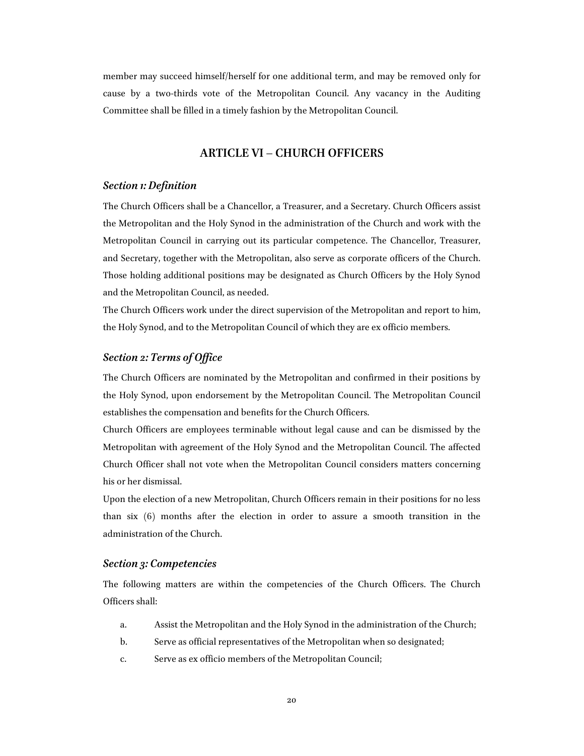member may succeed himself/herself for one additional term, and may be removed only for cause by a two-thirds vote of the Metropolitan Council. Any vacancy in the Auditing Committee shall be filled in a timely fashion by the Metropolitan Council.

# **ARTICLE VI – CHURCH OFFICERS**

#### *Section 1: Definition*

The Church Officers shall be a Chancellor, a Treasurer, and a Secretary. Church Officers assist the Metropolitan and the Holy Synod in the administration of the Church and work with the Metropolitan Council in carrying out its particular competence. The Chancellor, Treasurer, and Secretary, together with the Metropolitan, also serve as corporate officers of the Church. Those holding additional positions may be designated as Church Officers by the Holy Synod and the Metropolitan Council, as needed.

The Church Officers work under the direct supervision of the Metropolitan and report to him, the Holy Synod, and to the Metropolitan Council of which they are ex officio members.

# *Section 2: Terms of Office*

The Church Officers are nominated by the Metropolitan and confirmed in their positions by the Holy Synod, upon endorsement by the Metropolitan Council. The Metropolitan Council establishes the compensation and benefits for the Church Officers.

Church Officers are employees terminable without legal cause and can be dismissed by the Metropolitan with agreement of the Holy Synod and the Metropolitan Council. The affected Church Officer shall not vote when the Metropolitan Council considers matters concerning his or her dismissal.

Upon the election of a new Metropolitan, Church Officers remain in their positions for no less than six (6) months after the election in order to assure a smooth transition in the administration of the Church.

#### *Section 3: Competencies*

The following matters are within the competencies of the Church Officers. The Church Officers shall:

- a. Assist the Metropolitan and the Holy Synod in the administration of the Church;
- b. Serve as official representatives of the Metropolitan when so designated;
- c. Serve as ex officio members of the Metropolitan Council;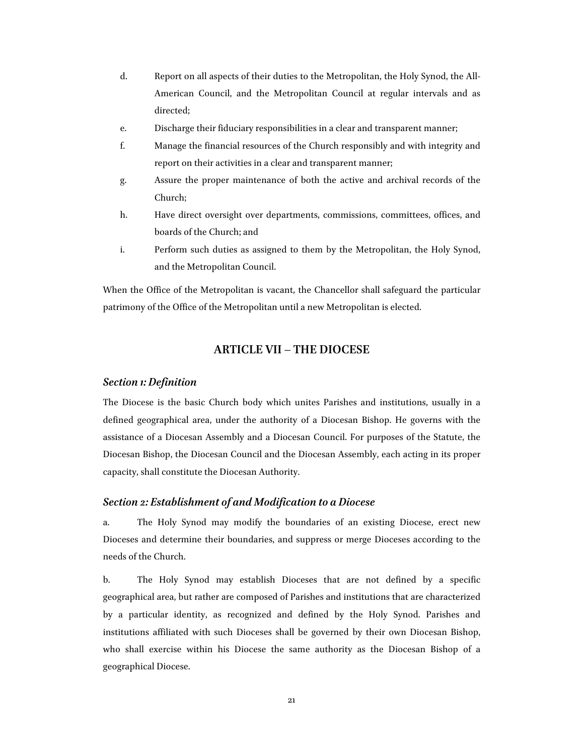- d. Report on all aspects of their duties to the Metropolitan, the Holy Synod, the All-American Council, and the Metropolitan Council at regular intervals and as directed;
- e. Discharge their fiduciary responsibilities in a clear and transparent manner;
- f. Manage the financial resources of the Church responsibly and with integrity and report on their activities in a clear and transparent manner;
- g. Assure the proper maintenance of both the active and archival records of the Church;
- h. Have direct oversight over departments, commissions, committees, offices, and boards of the Church; and
- i. Perform such duties as assigned to them by the Metropolitan, the Holy Synod, and the Metropolitan Council.

When the Office of the Metropolitan is vacant, the Chancellor shall safeguard the particular patrimony of the Office of the Metropolitan until a new Metropolitan is elected.

# **ARTICLE VII – THE DIOCESE**

#### *Section 1: Definition*

The Diocese is the basic Church body which unites Parishes and institutions, usually in a defined geographical area, under the authority of a Diocesan Bishop. He governs with the assistance of a Diocesan Assembly and a Diocesan Council. For purposes of the Statute, the Diocesan Bishop, the Diocesan Council and the Diocesan Assembly, each acting in its proper capacity, shall constitute the Diocesan Authority.

### *Section 2: Establishment of and Modification to a Diocese*

a. The Holy Synod may modify the boundaries of an existing Diocese, erect new Dioceses and determine their boundaries, and suppress or merge Dioceses according to the needs of the Church.

b. The Holy Synod may establish Dioceses that are not defined by a specific geographical area, but rather are composed of Parishes and institutions that are characterized by a particular identity, as recognized and defined by the Holy Synod. Parishes and institutions affiliated with such Dioceses shall be governed by their own Diocesan Bishop, who shall exercise within his Diocese the same authority as the Diocesan Bishop of a geographical Diocese.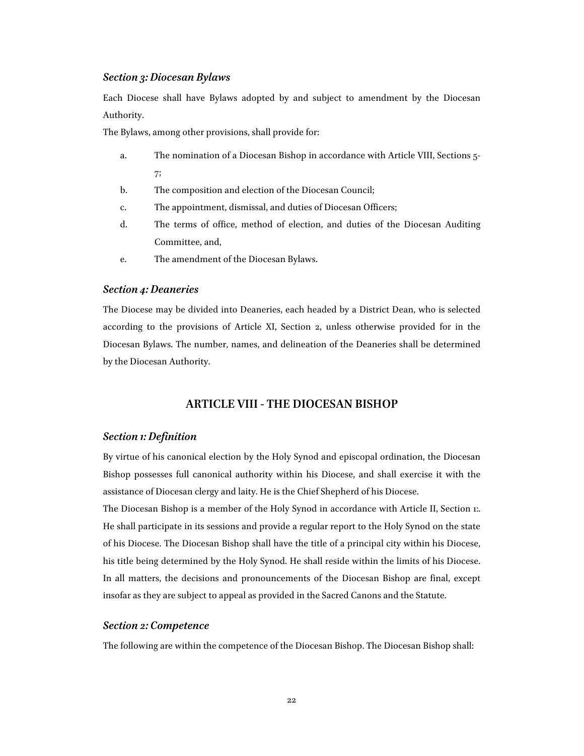# *Section 3: Diocesan Bylaws*

Each Diocese shall have Bylaws adopted by and subject to amendment by the Diocesan Authority.

The Bylaws, among other provisions, shall provide for:

- a. The nomination of a Diocesan Bishop in accordance with Article VIII, Sections 5- 7;
- b. The composition and election of the Diocesan Council;
- c. The appointment, dismissal, and duties of Diocesan Officers;
- d. The terms of office, method of election, and duties of the Diocesan Auditing Committee, and,
- e. The amendment of the Diocesan Bylaws.

# *Section 4: Deaneries*

The Diocese may be divided into Deaneries, each headed by a District Dean, who is selected according to the provisions of Article XI, Section 2, unless otherwise provided for in the Diocesan Bylaws. The number, names, and delineation of the Deaneries shall be determined by the Diocesan Authority.

# **ARTICLE VIII - THE DIOCESAN BISHOP**

#### *Section 1: Definition*

By virtue of his canonical election by the Holy Synod and episcopal ordination, the Diocesan Bishop possesses full canonical authority within his Diocese, and shall exercise it with the assistance of Diocesan clergy and laity. He is the Chief Shepherd of his Diocese.

The Diocesan Bishop is a member of the Holy Synod in accordance with Article II, Section 1:. He shall participate in its sessions and provide a regular report to the Holy Synod on the state of his Diocese. The Diocesan Bishop shall have the title of a principal city within his Diocese, his title being determined by the Holy Synod. He shall reside within the limits of his Diocese. In all matters, the decisions and pronouncements of the Diocesan Bishop are final, except insofar as they are subject to appeal as provided in the Sacred Canons and the Statute.

#### *Section 2: Competence*

The following are within the competence of the Diocesan Bishop. The Diocesan Bishop shall: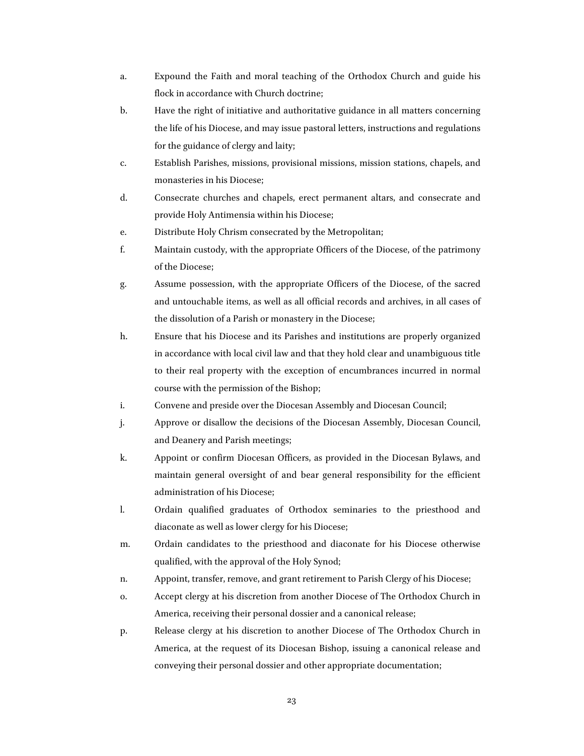- a. Expound the Faith and moral teaching of the Orthodox Church and guide his flock in accordance with Church doctrine;
- b. Have the right of initiative and authoritative guidance in all matters concerning the life of his Diocese, and may issue pastoral letters, instructions and regulations for the guidance of clergy and laity;
- c. Establish Parishes, missions, provisional missions, mission stations, chapels, and monasteries in his Diocese;
- d. Consecrate churches and chapels, erect permanent altars, and consecrate and provide Holy Antimensia within his Diocese;
- e. Distribute Holy Chrism consecrated by the Metropolitan;
- f. Maintain custody, with the appropriate Officers of the Diocese, of the patrimony of the Diocese;
- g. Assume possession, with the appropriate Officers of the Diocese, of the sacred and untouchable items, as well as all official records and archives, in all cases of the dissolution of a Parish or monastery in the Diocese;
- h. Ensure that his Diocese and its Parishes and institutions are properly organized in accordance with local civil law and that they hold clear and unambiguous title to their real property with the exception of encumbrances incurred in normal course with the permission of the Bishop;
- i. Convene and preside over the Diocesan Assembly and Diocesan Council;
- j. Approve or disallow the decisions of the Diocesan Assembly, Diocesan Council, and Deanery and Parish meetings;
- k. Appoint or confirm Diocesan Officers, as provided in the Diocesan Bylaws, and maintain general oversight of and bear general responsibility for the efficient administration of his Diocese;
- l. Ordain qualified graduates of Orthodox seminaries to the priesthood and diaconate as well as lower clergy for his Diocese;
- m. Ordain candidates to the priesthood and diaconate for his Diocese otherwise qualified, with the approval of the Holy Synod;
- n. Appoint, transfer, remove, and grant retirement to Parish Clergy of his Diocese;
- o. Accept clergy at his discretion from another Diocese of The Orthodox Church in America, receiving their personal dossier and a canonical release;
- p. Release clergy at his discretion to another Diocese of The Orthodox Church in America, at the request of its Diocesan Bishop, issuing a canonical release and conveying their personal dossier and other appropriate documentation;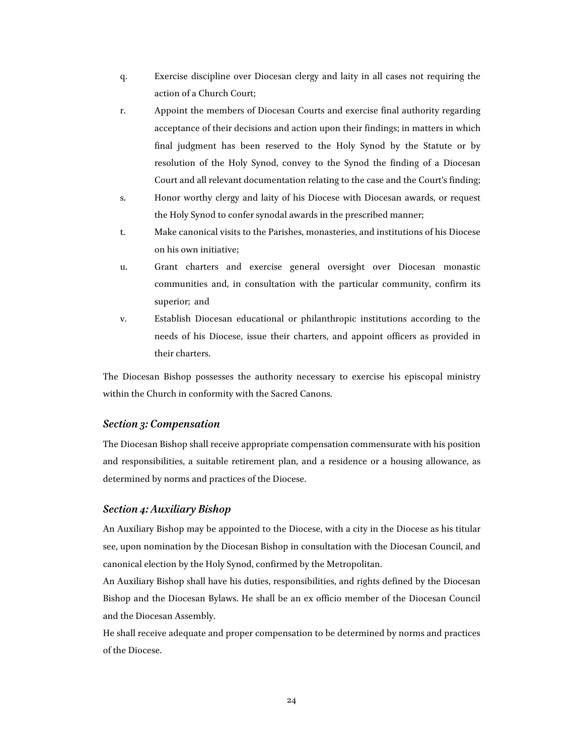- q. Exercise discipline over Diocesan clergy and laity in all cases not requiring the action of a Church Court;
- r. Appoint the members of Diocesan Courts and exercise final authority regarding acceptance of their decisions and action upon their findings; in matters in which final judgment has been reserved to the Holy Synod by the Statute or by resolution of the Holy Synod, convey to the Synod the finding of a Diocesan Court and all relevant documentation relating to the case and the Court's finding;
- s. Honor worthy clergy and laity of his Diocese with Diocesan awards, or request the Holy Synod to confer synodal awards in the prescribed manner;
- t. Make canonical visits to the Parishes, monasteries, and institutions of his Diocese on his own initiative;
- u. Grant charters and exercise general oversight over Diocesan monastic communities and, in consultation with the particular community, confirm its superior; and
- v. Establish Diocesan educational or philanthropic institutions according to the needs of his Diocese, issue their charters, and appoint officers as provided in their charters.

The Diocesan Bishop possesses the authority necessary to exercise his episcopal ministry within the Church in conformity with the Sacred Canons.

# *Section 3: Compensation*

The Diocesan Bishop shall receive appropriate compensation commensurate with his position and responsibilities, a suitable retirement plan, and a residence or a housing allowance, as determined by norms and practices of the Diocese.

# *Section 4: Auxiliary Bishop*

An Auxiliary Bishop may be appointed to the Diocese, with a city in the Diocese as his titular see, upon nomination by the Diocesan Bishop in consultation with the Diocesan Council, and canonical election by the Holy Synod, confirmed by the Metropolitan.

An Auxiliary Bishop shall have his duties, responsibilities, and rights defined by the Diocesan Bishop and the Diocesan Bylaws. He shall be an ex officio member of the Diocesan Council and the Diocesan Assembly.

He shall receive adequate and proper compensation to be determined by norms and practices of the Diocese.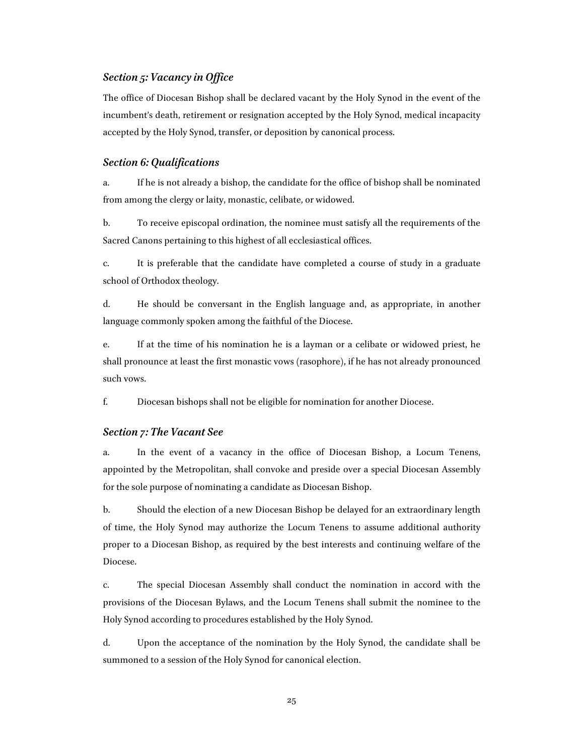# *Section 5: Vacancy in Office*

The office of Diocesan Bishop shall be declared vacant by the Holy Synod in the event of the incumbent's death, retirement or resignation accepted by the Holy Synod, medical incapacity accepted by the Holy Synod, transfer, or deposition by canonical process.

# *Section 6: Qualifications*

a. If he is not already a bishop, the candidate for the office of bishop shall be nominated from among the clergy or laity, monastic, celibate, or widowed.

b. To receive episcopal ordination, the nominee must satisfy all the requirements of the Sacred Canons pertaining to this highest of all ecclesiastical offices.

c. It is preferable that the candidate have completed a course of study in a graduate school of Orthodox theology.

d. He should be conversant in the English language and, as appropriate, in another language commonly spoken among the faithful of the Diocese.

e. If at the time of his nomination he is a layman or a celibate or widowed priest, he shall pronounce at least the first monastic vows (rasophore), if he has not already pronounced such vows.

f. Diocesan bishops shall not be eligible for nomination for another Diocese.

#### *Section 7: The Vacant See*

a. In the event of a vacancy in the office of Diocesan Bishop, a Locum Tenens, appointed by the Metropolitan, shall convoke and preside over a special Diocesan Assembly for the sole purpose of nominating a candidate as Diocesan Bishop.

b. Should the election of a new Diocesan Bishop be delayed for an extraordinary length of time, the Holy Synod may authorize the Locum Tenens to assume additional authority proper to a Diocesan Bishop, as required by the best interests and continuing welfare of the Diocese.

c. The special Diocesan Assembly shall conduct the nomination in accord with the provisions of the Diocesan Bylaws, and the Locum Tenens shall submit the nominee to the Holy Synod according to procedures established by the Holy Synod.

d. Upon the acceptance of the nomination by the Holy Synod, the candidate shall be summoned to a session of the Holy Synod for canonical election.

25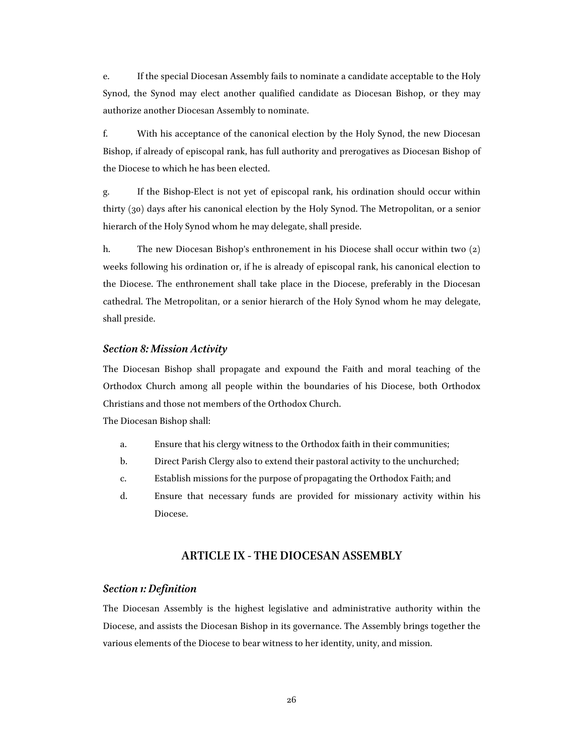e. If the special Diocesan Assembly fails to nominate a candidate acceptable to the Holy Synod, the Synod may elect another qualified candidate as Diocesan Bishop, or they may authorize another Diocesan Assembly to nominate.

f. With his acceptance of the canonical election by the Holy Synod, the new Diocesan Bishop, if already of episcopal rank, has full authority and prerogatives as Diocesan Bishop of the Diocese to which he has been elected.

g. If the Bishop-Elect is not yet of episcopal rank, his ordination should occur within thirty (30) days after his canonical election by the Holy Synod. The Metropolitan, or a senior hierarch of the Holy Synod whom he may delegate, shall preside.

h. The new Diocesan Bishop's enthronement in his Diocese shall occur within two (2) weeks following his ordination or, if he is already of episcopal rank, his canonical election to the Diocese. The enthronement shall take place in the Diocese, preferably in the Diocesan cathedral. The Metropolitan, or a senior hierarch of the Holy Synod whom he may delegate, shall preside.

#### *Section 8: Mission Activity*

The Diocesan Bishop shall propagate and expound the Faith and moral teaching of the Orthodox Church among all people within the boundaries of his Diocese, both Orthodox Christians and those not members of the Orthodox Church.

The Diocesan Bishop shall:

- a. Ensure that his clergy witness to the Orthodox faith in their communities;
- b. Direct Parish Clergy also to extend their pastoral activity to the unchurched;
- c. Establish missions for the purpose of propagating the Orthodox Faith; and
- d. Ensure that necessary funds are provided for missionary activity within his Diocese.

# **ARTICLE IX - THE DIOCESAN ASSEMBLY**

# *Section 1: Definition*

The Diocesan Assembly is the highest legislative and administrative authority within the Diocese, and assists the Diocesan Bishop in its governance. The Assembly brings together the various elements of the Diocese to bear witness to her identity, unity, and mission.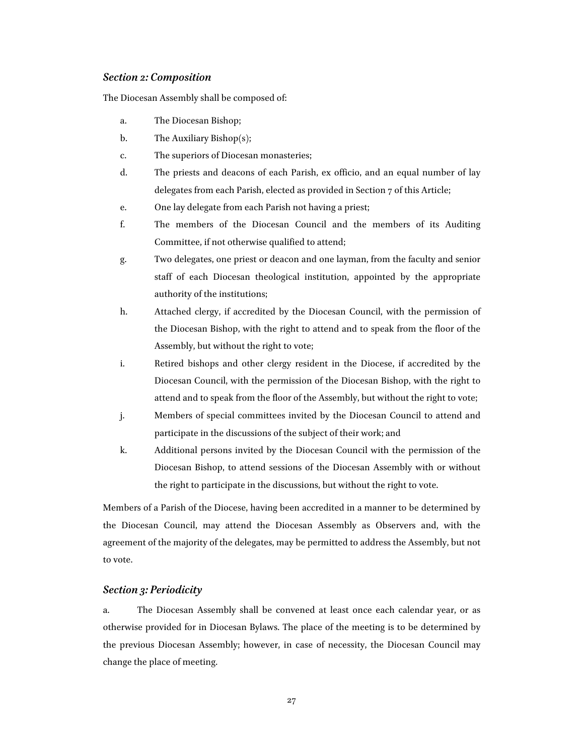#### *Section 2: Composition*

The Diocesan Assembly shall be composed of:

- a. The Diocesan Bishop;
- b. The Auxiliary Bishop(s);
- c. The superiors of Diocesan monasteries;
- d. The priests and deacons of each Parish, ex officio, and an equal number of lay delegates from each Parish, elected as provided in Section 7 of this Article;
- e. One lay delegate from each Parish not having a priest;
- f. The members of the Diocesan Council and the members of its Auditing Committee, if not otherwise qualified to attend;
- g. Two delegates, one priest or deacon and one layman, from the faculty and senior staff of each Diocesan theological institution, appointed by the appropriate authority of the institutions;
- h. Attached clergy, if accredited by the Diocesan Council, with the permission of the Diocesan Bishop, with the right to attend and to speak from the floor of the Assembly, but without the right to vote;
- i. Retired bishops and other clergy resident in the Diocese, if accredited by the Diocesan Council, with the permission of the Diocesan Bishop, with the right to attend and to speak from the floor of the Assembly, but without the right to vote;
- j. Members of special committees invited by the Diocesan Council to attend and participate in the discussions of the subject of their work; and
- k. Additional persons invited by the Diocesan Council with the permission of the Diocesan Bishop, to attend sessions of the Diocesan Assembly with or without the right to participate in the discussions, but without the right to vote.

Members of a Parish of the Diocese, having been accredited in a manner to be determined by the Diocesan Council, may attend the Diocesan Assembly as Observers and, with the agreement of the majority of the delegates, may be permitted to address the Assembly, but not to vote.

# *Section 3: Periodicity*

a. The Diocesan Assembly shall be convened at least once each calendar year, or as otherwise provided for in Diocesan Bylaws. The place of the meeting is to be determined by the previous Diocesan Assembly; however, in case of necessity, the Diocesan Council may change the place of meeting.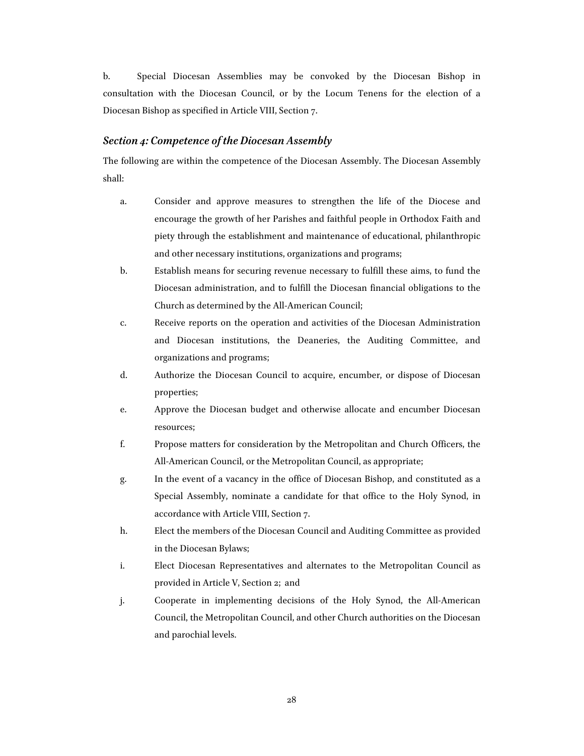b. Special Diocesan Assemblies may be convoked by the Diocesan Bishop in consultation with the Diocesan Council, or by the Locum Tenens for the election of a Diocesan Bishop as specified in Article VIII, Section 7.

### *Section 4: Competence of the Diocesan Assembly*

The following are within the competence of the Diocesan Assembly. The Diocesan Assembly shall:

- a. Consider and approve measures to strengthen the life of the Diocese and encourage the growth of her Parishes and faithful people in Orthodox Faith and piety through the establishment and maintenance of educational, philanthropic and other necessary institutions, organizations and programs;
- b. Establish means for securing revenue necessary to fulfill these aims, to fund the Diocesan administration, and to fulfill the Diocesan financial obligations to the Church as determined by the All-American Council;
- c. Receive reports on the operation and activities of the Diocesan Administration and Diocesan institutions, the Deaneries, the Auditing Committee, and organizations and programs;
- d. Authorize the Diocesan Council to acquire, encumber, or dispose of Diocesan properties;
- e. Approve the Diocesan budget and otherwise allocate and encumber Diocesan resources;
- f. Propose matters for consideration by the Metropolitan and Church Officers, the All-American Council, or the Metropolitan Council, as appropriate;
- g. In the event of a vacancy in the office of Diocesan Bishop, and constituted as a Special Assembly, nominate a candidate for that office to the Holy Synod, in accordance with Article VIII, Section 7.
- h. Elect the members of the Diocesan Council and Auditing Committee as provided in the Diocesan Bylaws;
- i. Elect Diocesan Representatives and alternates to the Metropolitan Council as provided in Article V, Section 2; and
- j. Cooperate in implementing decisions of the Holy Synod, the All-American Council, the Metropolitan Council, and other Church authorities on the Diocesan and parochial levels.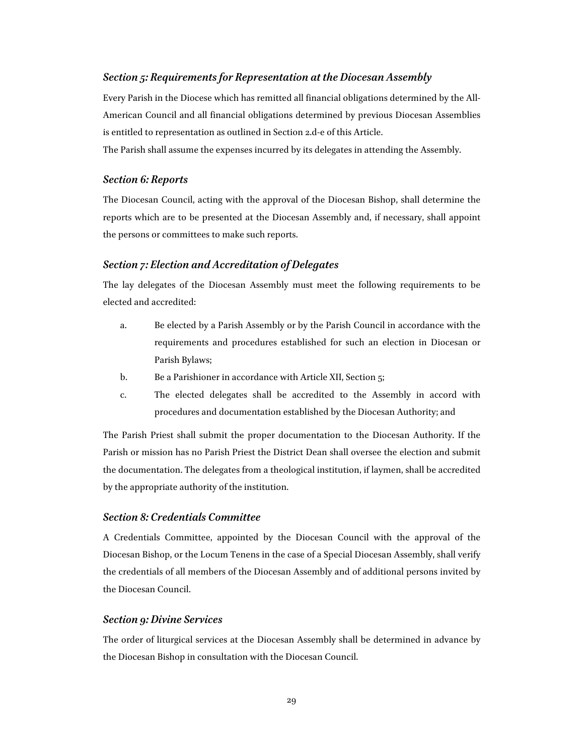# *Section 5: Requirements for Representation at the Diocesan Assembly*

Every Parish in the Diocese which has remitted all financial obligations determined by the All-American Council and all financial obligations determined by previous Diocesan Assemblies is entitled to representation as outlined in Section 2.d-e of this Article.

The Parish shall assume the expenses incurred by its delegates in attending the Assembly.

#### *Section 6: Reports*

The Diocesan Council, acting with the approval of the Diocesan Bishop, shall determine the reports which are to be presented at the Diocesan Assembly and, if necessary, shall appoint the persons or committees to make such reports.

# *Section 7: Election and Accreditation of Delegates*

The lay delegates of the Diocesan Assembly must meet the following requirements to be elected and accredited:

- a. Be elected by a Parish Assembly or by the Parish Council in accordance with the requirements and procedures established for such an election in Diocesan or Parish Bylaws;
- b. Be a Parishioner in accordance with Article XII, Section 5;
- c. The elected delegates shall be accredited to the Assembly in accord with procedures and documentation established by the Diocesan Authority; and

The Parish Priest shall submit the proper documentation to the Diocesan Authority. If the Parish or mission has no Parish Priest the District Dean shall oversee the election and submit the documentation. The delegates from a theological institution, if laymen, shall be accredited by the appropriate authority of the institution.

# *Section 8: Credentials Committee*

A Credentials Committee, appointed by the Diocesan Council with the approval of the Diocesan Bishop, or the Locum Tenens in the case of a Special Diocesan Assembly, shall verify the credentials of all members of the Diocesan Assembly and of additional persons invited by the Diocesan Council.

### *Section 9: Divine Services*

The order of liturgical services at the Diocesan Assembly shall be determined in advance by the Diocesan Bishop in consultation with the Diocesan Council.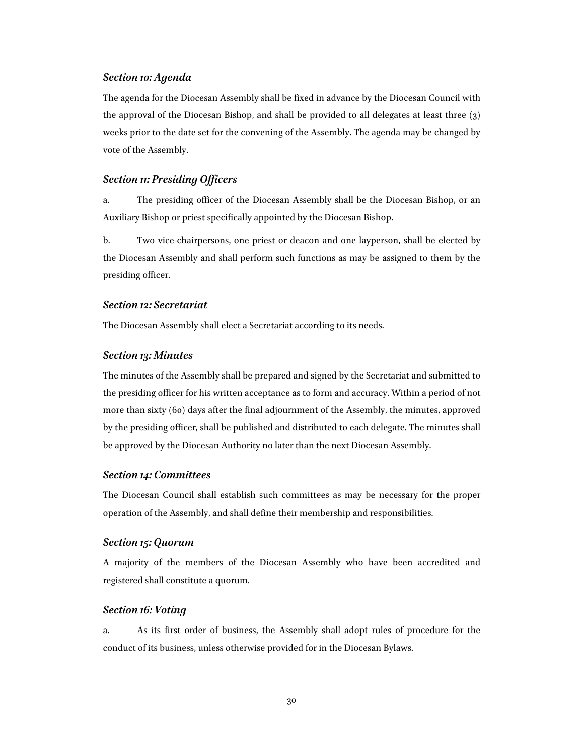# *Section 10: Agenda*

The agenda for the Diocesan Assembly shall be fixed in advance by the Diocesan Council with the approval of the Diocesan Bishop, and shall be provided to all delegates at least three (3) weeks prior to the date set for the convening of the Assembly. The agenda may be changed by vote of the Assembly.

# *Section 11: Presiding Officers*

a. The presiding officer of the Diocesan Assembly shall be the Diocesan Bishop, or an Auxiliary Bishop or priest specifically appointed by the Diocesan Bishop.

b. Two vice-chairpersons, one priest or deacon and one layperson, shall be elected by the Diocesan Assembly and shall perform such functions as may be assigned to them by the presiding officer.

# *Section 12: Secretariat*

The Diocesan Assembly shall elect a Secretariat according to its needs.

#### *Section 13: Minutes*

The minutes of the Assembly shall be prepared and signed by the Secretariat and submitted to the presiding officer for his written acceptance as to form and accuracy. Within a period of not more than sixty (60) days after the final adjournment of the Assembly, the minutes, approved by the presiding officer, shall be published and distributed to each delegate. The minutes shall be approved by the Diocesan Authority no later than the next Diocesan Assembly.

#### *Section 14: Committees*

The Diocesan Council shall establish such committees as may be necessary for the proper operation of the Assembly, and shall define their membership and responsibilities.

#### *Section 15: Quorum*

A majority of the members of the Diocesan Assembly who have been accredited and registered shall constitute a quorum.

# *Section 16: Voting*

a. As its first order of business, the Assembly shall adopt rules of procedure for the conduct of its business, unless otherwise provided for in the Diocesan Bylaws.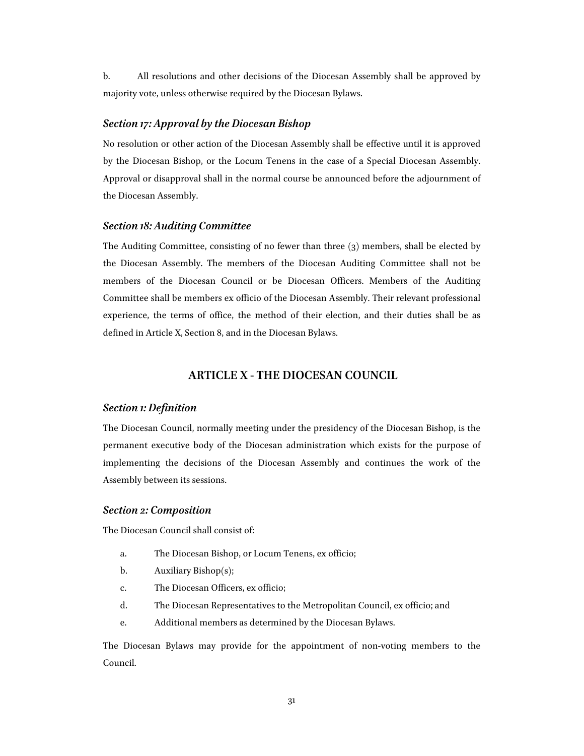b. All resolutions and other decisions of the Diocesan Assembly shall be approved by majority vote, unless otherwise required by the Diocesan Bylaws.

# *Section 17: Approval by the Diocesan Bishop*

No resolution or other action of the Diocesan Assembly shall be effective until it is approved by the Diocesan Bishop, or the Locum Tenens in the case of a Special Diocesan Assembly. Approval or disapproval shall in the normal course be announced before the adjournment of the Diocesan Assembly.

#### *Section 18: Auditing Committee*

The Auditing Committee, consisting of no fewer than three (3) members, shall be elected by the Diocesan Assembly. The members of the Diocesan Auditing Committee shall not be members of the Diocesan Council or be Diocesan Officers. Members of the Auditing Committee shall be members ex officio of the Diocesan Assembly. Their relevant professional experience, the terms of office, the method of their election, and their duties shall be as defined in Article X, Section 8, and in the Diocesan Bylaws.

# **ARTICLE X - THE DIOCESAN COUNCIL**

### *Section 1: Definition*

The Diocesan Council, normally meeting under the presidency of the Diocesan Bishop, is the permanent executive body of the Diocesan administration which exists for the purpose of implementing the decisions of the Diocesan Assembly and continues the work of the Assembly between its sessions.

#### *Section 2: Composition*

The Diocesan Council shall consist of:

- a. The Diocesan Bishop, or Locum Tenens, ex officio;
- b. Auxiliary Bishop(s);
- c. The Diocesan Officers, ex officio;
- d. The Diocesan Representatives to the Metropolitan Council, ex officio; and
- e. Additional members as determined by the Diocesan Bylaws.

The Diocesan Bylaws may provide for the appointment of non-voting members to the Council.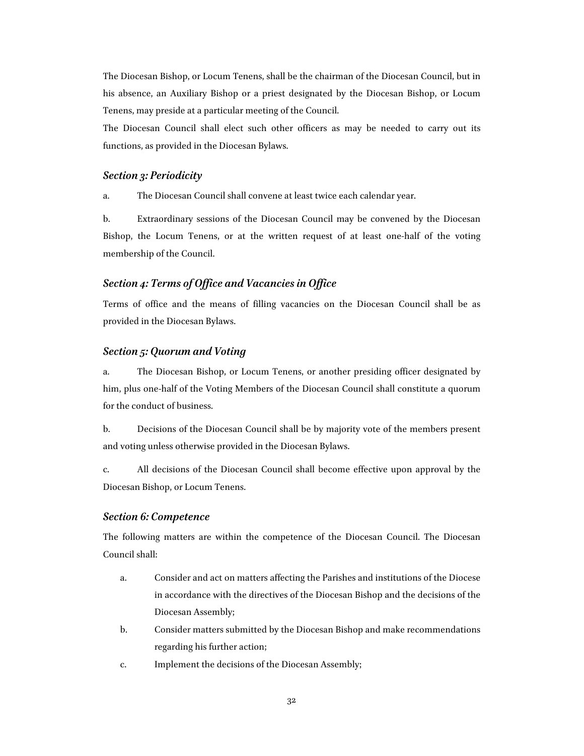The Diocesan Bishop, or Locum Tenens, shall be the chairman of the Diocesan Council, but in his absence, an Auxiliary Bishop or a priest designated by the Diocesan Bishop, or Locum Tenens, may preside at a particular meeting of the Council.

The Diocesan Council shall elect such other officers as may be needed to carry out its functions, as provided in the Diocesan Bylaws.

#### *Section 3: Periodicity*

a. The Diocesan Council shall convene at least twice each calendar year.

b. Extraordinary sessions of the Diocesan Council may be convened by the Diocesan Bishop, the Locum Tenens, or at the written request of at least one-half of the voting membership of the Council.

# *Section 4: Terms of Office and Vacancies in Office*

Terms of office and the means of filling vacancies on the Diocesan Council shall be as provided in the Diocesan Bylaws.

# *Section 5: Quorum and Voting*

a. The Diocesan Bishop, or Locum Tenens, or another presiding officer designated by him, plus one-half of the Voting Members of the Diocesan Council shall constitute a quorum for the conduct of business.

b. Decisions of the Diocesan Council shall be by majority vote of the members present and voting unless otherwise provided in the Diocesan Bylaws.

c. All decisions of the Diocesan Council shall become effective upon approval by the Diocesan Bishop, or Locum Tenens.

#### *Section 6: Competence*

The following matters are within the competence of the Diocesan Council. The Diocesan Council shall:

- a. Consider and act on matters affecting the Parishes and institutions of the Diocese in accordance with the directives of the Diocesan Bishop and the decisions of the Diocesan Assembly;
- b. Consider matters submitted by the Diocesan Bishop and make recommendations regarding his further action;
- c. Implement the decisions of the Diocesan Assembly;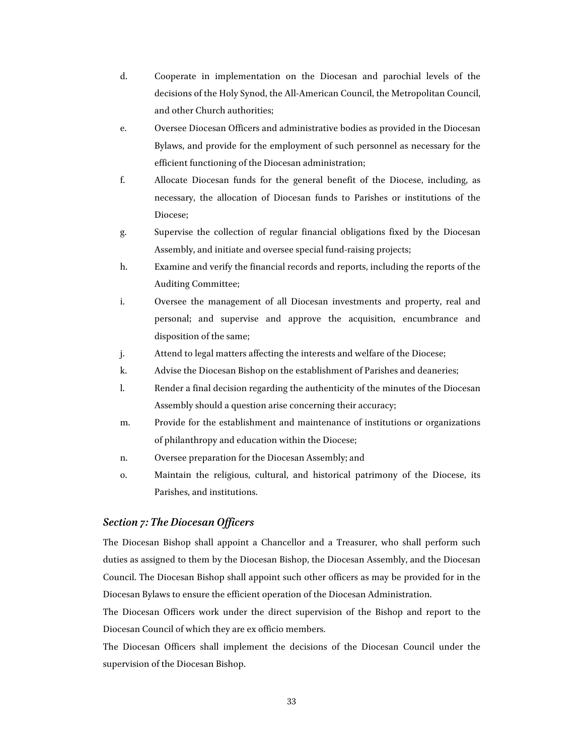- d. Cooperate in implementation on the Diocesan and parochial levels of the decisions of the Holy Synod, the All-American Council, the Metropolitan Council, and other Church authorities;
- e. Oversee Diocesan Officers and administrative bodies as provided in the Diocesan Bylaws, and provide for the employment of such personnel as necessary for the efficient functioning of the Diocesan administration;
- f. Allocate Diocesan funds for the general benefit of the Diocese, including, as necessary, the allocation of Diocesan funds to Parishes or institutions of the Diocese;
- g. Supervise the collection of regular financial obligations fixed by the Diocesan Assembly, and initiate and oversee special fund-raising projects;
- h. Examine and verify the financial records and reports, including the reports of the Auditing Committee;
- i. Oversee the management of all Diocesan investments and property, real and personal; and supervise and approve the acquisition, encumbrance and disposition of the same;
- j. Attend to legal matters affecting the interests and welfare of the Diocese;
- k. Advise the Diocesan Bishop on the establishment of Parishes and deaneries;
- l. Render a final decision regarding the authenticity of the minutes of the Diocesan Assembly should a question arise concerning their accuracy;
- m. Provide for the establishment and maintenance of institutions or organizations of philanthropy and education within the Diocese;
- n. Oversee preparation for the Diocesan Assembly; and
- o. Maintain the religious, cultural, and historical patrimony of the Diocese, its Parishes, and institutions.

#### *Section 7: The Diocesan Officers*

The Diocesan Bishop shall appoint a Chancellor and a Treasurer, who shall perform such duties as assigned to them by the Diocesan Bishop, the Diocesan Assembly, and the Diocesan Council. The Diocesan Bishop shall appoint such other officers as may be provided for in the Diocesan Bylaws to ensure the efficient operation of the Diocesan Administration.

The Diocesan Officers work under the direct supervision of the Bishop and report to the Diocesan Council of which they are ex officio members.

The Diocesan Officers shall implement the decisions of the Diocesan Council under the supervision of the Diocesan Bishop.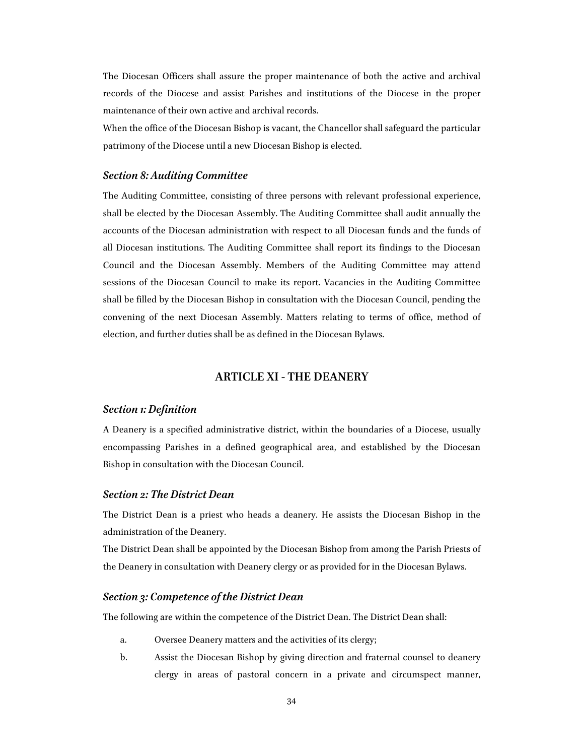The Diocesan Officers shall assure the proper maintenance of both the active and archival records of the Diocese and assist Parishes and institutions of the Diocese in the proper maintenance of their own active and archival records.

When the office of the Diocesan Bishop is vacant, the Chancellor shall safeguard the particular patrimony of the Diocese until a new Diocesan Bishop is elected.

#### *Section 8: Auditing Committee*

The Auditing Committee, consisting of three persons with relevant professional experience, shall be elected by the Diocesan Assembly. The Auditing Committee shall audit annually the accounts of the Diocesan administration with respect to all Diocesan funds and the funds of all Diocesan institutions. The Auditing Committee shall report its findings to the Diocesan Council and the Diocesan Assembly. Members of the Auditing Committee may attend sessions of the Diocesan Council to make its report. Vacancies in the Auditing Committee shall be filled by the Diocesan Bishop in consultation with the Diocesan Council, pending the convening of the next Diocesan Assembly. Matters relating to terms of office, method of election, and further duties shall be as defined in the Diocesan Bylaws.

# **ARTICLE XI - THE DEANERY**

#### *Section 1: Definition*

A Deanery is a specified administrative district, within the boundaries of a Diocese, usually encompassing Parishes in a defined geographical area, and established by the Diocesan Bishop in consultation with the Diocesan Council.

# *Section 2: The District Dean*

The District Dean is a priest who heads a deanery. He assists the Diocesan Bishop in the administration of the Deanery.

The District Dean shall be appointed by the Diocesan Bishop from among the Parish Priests of the Deanery in consultation with Deanery clergy or as provided for in the Diocesan Bylaws.

## *Section 3: Competence of the District Dean*

The following are within the competence of the District Dean. The District Dean shall:

- a. Oversee Deanery matters and the activities of its clergy;
- b. Assist the Diocesan Bishop by giving direction and fraternal counsel to deanery clergy in areas of pastoral concern in a private and circumspect manner,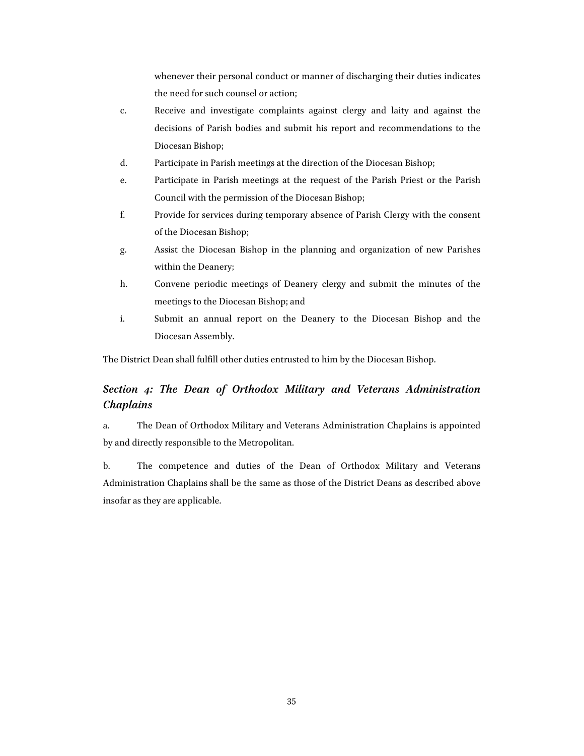whenever their personal conduct or manner of discharging their duties indicates the need for such counsel or action;

- c. Receive and investigate complaints against clergy and laity and against the decisions of Parish bodies and submit his report and recommendations to the Diocesan Bishop;
- d. Participate in Parish meetings at the direction of the Diocesan Bishop;
- e. Participate in Parish meetings at the request of the Parish Priest or the Parish Council with the permission of the Diocesan Bishop;
- f. Provide for services during temporary absence of Parish Clergy with the consent of the Diocesan Bishop;
- g. Assist the Diocesan Bishop in the planning and organization of new Parishes within the Deanery;
- h. Convene periodic meetings of Deanery clergy and submit the minutes of the meetings to the Diocesan Bishop; and
- i. Submit an annual report on the Deanery to the Diocesan Bishop and the Diocesan Assembly.

The District Dean shall fulfill other duties entrusted to him by the Diocesan Bishop.

# *Section 4: The Dean of Orthodox Military and Veterans Administration Chaplains*

a. The Dean of Orthodox Military and Veterans Administration Chaplains is appointed by and directly responsible to the Metropolitan.

b. The competence and duties of the Dean of Orthodox Military and Veterans Administration Chaplains shall be the same as those of the District Deans as described above insofar as they are applicable.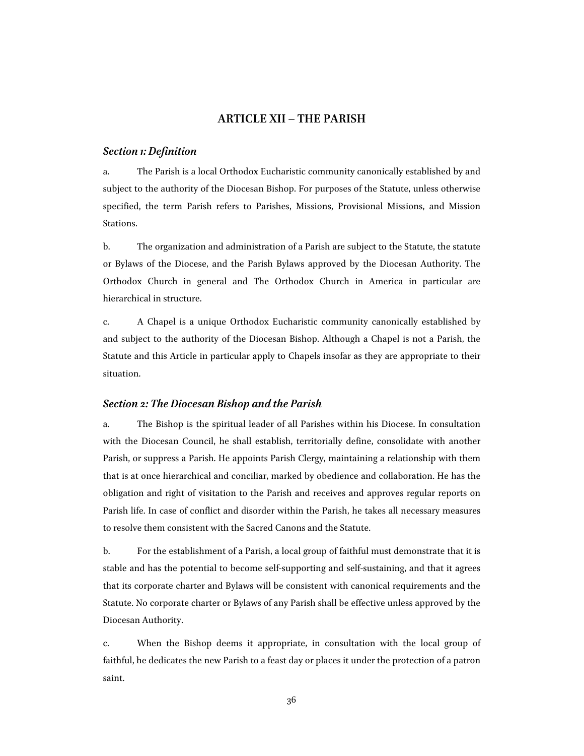# **ARTICLE XII – THE PARISH**

#### *Section 1: Definition*

a. The Parish is a local Orthodox Eucharistic community canonically established by and subject to the authority of the Diocesan Bishop. For purposes of the Statute, unless otherwise specified, the term Parish refers to Parishes, Missions, Provisional Missions, and Mission Stations.

b. The organization and administration of a Parish are subject to the Statute, the statute or Bylaws of the Diocese, and the Parish Bylaws approved by the Diocesan Authority. The Orthodox Church in general and The Orthodox Church in America in particular are hierarchical in structure.

c. A Chapel is a unique Orthodox Eucharistic community canonically established by and subject to the authority of the Diocesan Bishop. Although a Chapel is not a Parish, the Statute and this Article in particular apply to Chapels insofar as they are appropriate to their situation.

#### *Section 2: The Diocesan Bishop and the Parish*

a. The Bishop is the spiritual leader of all Parishes within his Diocese. In consultation with the Diocesan Council, he shall establish, territorially define, consolidate with another Parish, or suppress a Parish. He appoints Parish Clergy, maintaining a relationship with them that is at once hierarchical and conciliar, marked by obedience and collaboration. He has the obligation and right of visitation to the Parish and receives and approves regular reports on Parish life. In case of conflict and disorder within the Parish, he takes all necessary measures to resolve them consistent with the Sacred Canons and the Statute.

b. For the establishment of a Parish, a local group of faithful must demonstrate that it is stable and has the potential to become self-supporting and self-sustaining, and that it agrees that its corporate charter and Bylaws will be consistent with canonical requirements and the Statute. No corporate charter or Bylaws of any Parish shall be effective unless approved by the Diocesan Authority.

c. When the Bishop deems it appropriate, in consultation with the local group of faithful, he dedicates the new Parish to a feast day or places it under the protection of a patron saint.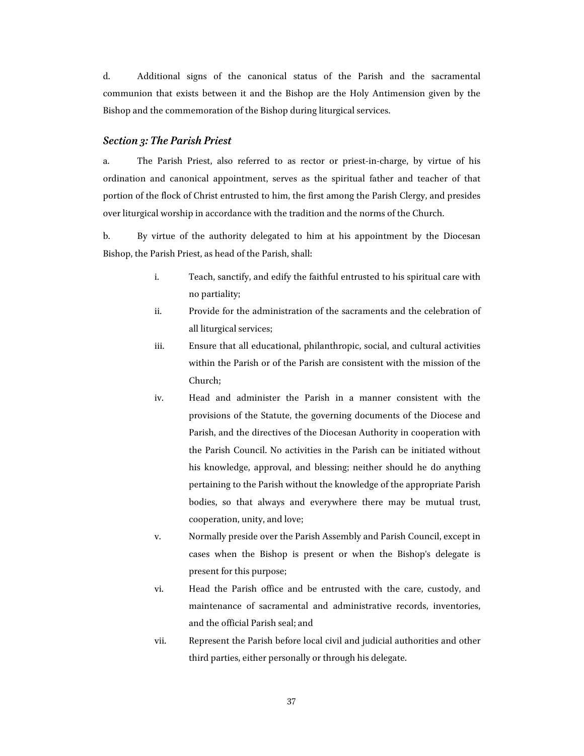d. Additional signs of the canonical status of the Parish and the sacramental communion that exists between it and the Bishop are the Holy Antimension given by the Bishop and the commemoration of the Bishop during liturgical services.

#### *Section 3: The Parish Priest*

a. The Parish Priest, also referred to as rector or priest-in-charge, by virtue of his ordination and canonical appointment, serves as the spiritual father and teacher of that portion of the flock of Christ entrusted to him, the first among the Parish Clergy, and presides over liturgical worship in accordance with the tradition and the norms of the Church.

b. By virtue of the authority delegated to him at his appointment by the Diocesan Bishop, the Parish Priest, as head of the Parish, shall:

- i. Teach, sanctify, and edify the faithful entrusted to his spiritual care with no partiality;
- ii. Provide for the administration of the sacraments and the celebration of all liturgical services;
- iii. Ensure that all educational, philanthropic, social, and cultural activities within the Parish or of the Parish are consistent with the mission of the Church;
- iv. Head and administer the Parish in a manner consistent with the provisions of the Statute, the governing documents of the Diocese and Parish, and the directives of the Diocesan Authority in cooperation with the Parish Council. No activities in the Parish can be initiated without his knowledge, approval, and blessing; neither should he do anything pertaining to the Parish without the knowledge of the appropriate Parish bodies, so that always and everywhere there may be mutual trust, cooperation, unity, and love;
- v. Normally preside over the Parish Assembly and Parish Council, except in cases when the Bishop is present or when the Bishop's delegate is present for this purpose;
- vi. Head the Parish office and be entrusted with the care, custody, and maintenance of sacramental and administrative records, inventories, and the official Parish seal; and
- vii. Represent the Parish before local civil and judicial authorities and other third parties, either personally or through his delegate.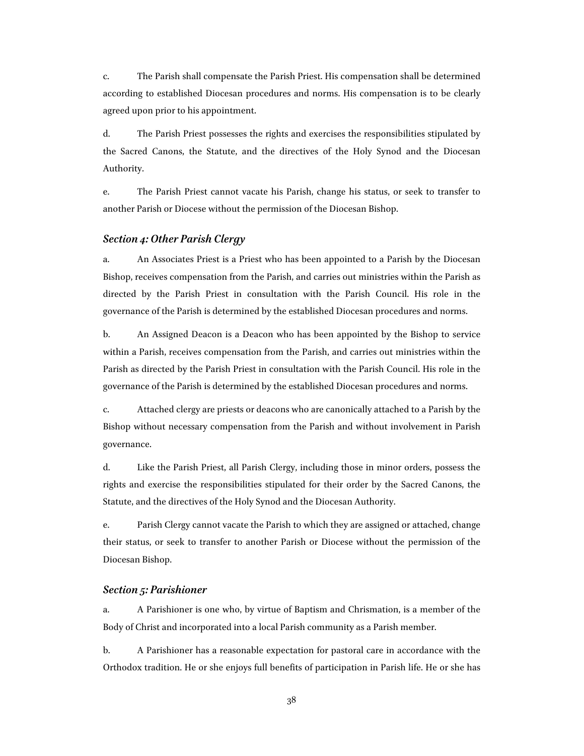c. The Parish shall compensate the Parish Priest. His compensation shall be determined according to established Diocesan procedures and norms. His compensation is to be clearly agreed upon prior to his appointment.

d. The Parish Priest possesses the rights and exercises the responsibilities stipulated by the Sacred Canons, the Statute, and the directives of the Holy Synod and the Diocesan Authority.

e. The Parish Priest cannot vacate his Parish, change his status, or seek to transfer to another Parish or Diocese without the permission of the Diocesan Bishop.

#### *Section 4: Other Parish Clergy*

a. An Associates Priest is a Priest who has been appointed to a Parish by the Diocesan Bishop, receives compensation from the Parish, and carries out ministries within the Parish as directed by the Parish Priest in consultation with the Parish Council. His role in the governance of the Parish is determined by the established Diocesan procedures and norms.

b. An Assigned Deacon is a Deacon who has been appointed by the Bishop to service within a Parish, receives compensation from the Parish, and carries out ministries within the Parish as directed by the Parish Priest in consultation with the Parish Council. His role in the governance of the Parish is determined by the established Diocesan procedures and norms.

c. Attached clergy are priests or deacons who are canonically attached to a Parish by the Bishop without necessary compensation from the Parish and without involvement in Parish governance.

d. Like the Parish Priest, all Parish Clergy, including those in minor orders, possess the rights and exercise the responsibilities stipulated for their order by the Sacred Canons, the Statute, and the directives of the Holy Synod and the Diocesan Authority.

e. Parish Clergy cannot vacate the Parish to which they are assigned or attached, change their status, or seek to transfer to another Parish or Diocese without the permission of the Diocesan Bishop.

#### *Section 5: Parishioner*

a. A Parishioner is one who, by virtue of Baptism and Chrismation, is a member of the Body of Christ and incorporated into a local Parish community as a Parish member.

b. A Parishioner has a reasonable expectation for pastoral care in accordance with the Orthodox tradition. He or she enjoys full benefits of participation in Parish life. He or she has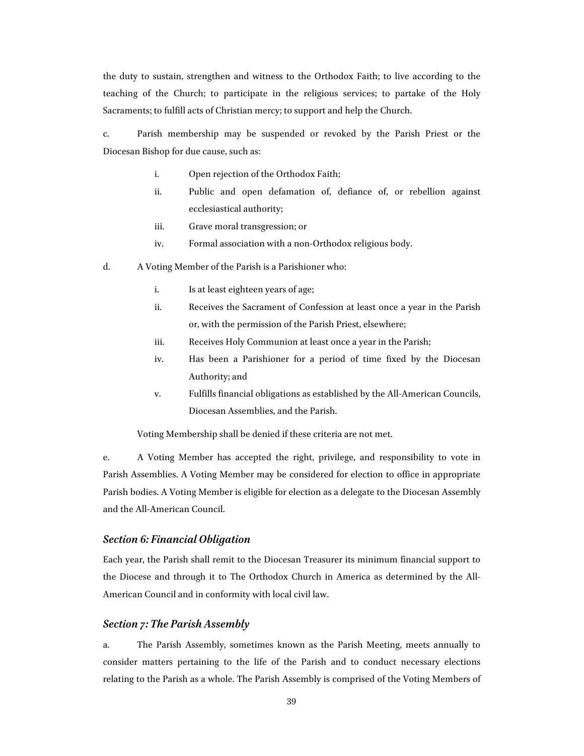the duty to sustain, strengthen and witness to the Orthodox Faith; to live according to the teaching of the Church; to participate in the religious services; to partake of the Holy Sacraments; to fulfill acts of Christian mercy; to support and help the Church.

c. Parish membership may be suspended or revoked by the Parish Priest or the Diocesan Bishop for due cause, such as:

- i. Open rejection of the Orthodox Faith;
- ii. Public and open defamation of, defiance of, or rebellion against ecclesiastical authority;
- iii. Grave moral transgression; or
- iv. Formal association with a non-Orthodox religious body.
- d. A Voting Member of the Parish is a Parishioner who:
	- i. Is at least eighteen years of age;
	- ii. Receives the Sacrament of Confession at least once a year in the Parish or, with the permission of the Parish Priest, elsewhere;
	- iii. Receives Holy Communion at least once a year in the Parish;
	- iv. Has been a Parishioner for a period of time fixed by the Diocesan Authority; and
	- v. Fulfills financial obligations as established by the All-American Councils, Diocesan Assemblies, and the Parish.

Voting Membership shall be denied if these criteria are not met.

e. A Voting Member has accepted the right, privilege, and responsibility to vote in Parish Assemblies. A Voting Member may be considered for election to office in appropriate Parish bodies. A Voting Member is eligible for election as a delegate to the Diocesan Assembly and the All-American Council.

#### *Section 6: Financial Obligation*

Each year, the Parish shall remit to the Diocesan Treasurer its minimum financial support to the Diocese and through it to The Orthodox Church in America as determined by the All-American Council and in conformity with local civil law.

#### *Section 7: The Parish Assembly*

a. The Parish Assembly, sometimes known as the Parish Meeting, meets annually to consider matters pertaining to the life of the Parish and to conduct necessary elections relating to the Parish as a whole. The Parish Assembly is comprised of the Voting Members of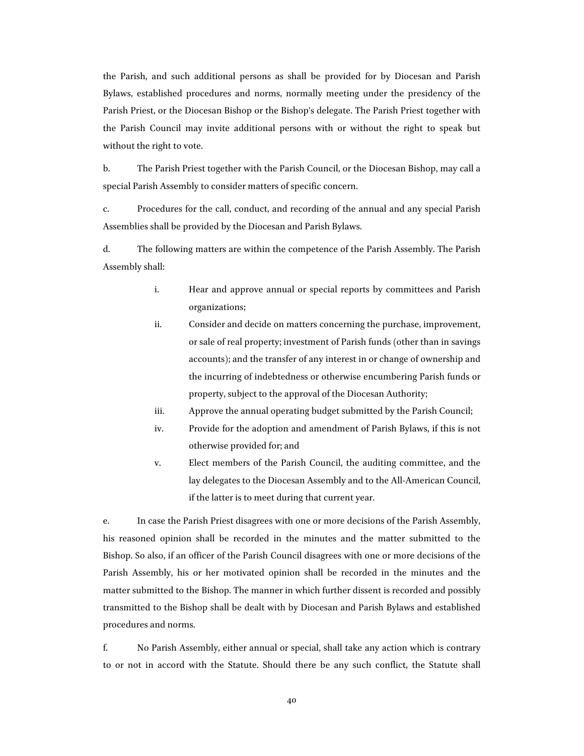the Parish, and such additional persons as shall be provided for by Diocesan and Parish Bylaws, established procedures and norms, normally meeting under the presidency of the Parish Priest, or the Diocesan Bishop or the Bishop's delegate. The Parish Priest together with the Parish Council may invite additional persons with or without the right to speak but without the right to vote.

b. The Parish Priest together with the Parish Council, or the Diocesan Bishop, may call a special Parish Assembly to consider matters of specific concern.

c. Procedures for the call, conduct, and recording of the annual and any special Parish Assemblies shall be provided by the Diocesan and Parish Bylaws.

d. The following matters are within the competence of the Parish Assembly. The Parish Assembly shall:

- i. Hear and approve annual or special reports by committees and Parish organizations;
- ii. Consider and decide on matters concerning the purchase, improvement, or sale of real property; investment of Parish funds (other than in savings accounts); and the transfer of any interest in or change of ownership and the incurring of indebtedness or otherwise encumbering Parish funds or property, subject to the approval of the Diocesan Authority;
- iii. Approve the annual operating budget submitted by the Parish Council;
- iv. Provide for the adoption and amendment of Parish Bylaws, if this is not otherwise provided for; and
- v. Elect members of the Parish Council, the auditing committee, and the lay delegates to the Diocesan Assembly and to the All-American Council, if the latter is to meet during that current year.

e. In case the Parish Priest disagrees with one or more decisions of the Parish Assembly, his reasoned opinion shall be recorded in the minutes and the matter submitted to the Bishop. So also, if an officer of the Parish Council disagrees with one or more decisions of the Parish Assembly, his or her motivated opinion shall be recorded in the minutes and the matter submitted to the Bishop. The manner in which further dissent is recorded and possibly transmitted to the Bishop shall be dealt with by Diocesan and Parish Bylaws and established procedures and norms.

f. No Parish Assembly, either annual or special, shall take any action which is contrary to or not in accord with the Statute. Should there be any such conflict, the Statute shall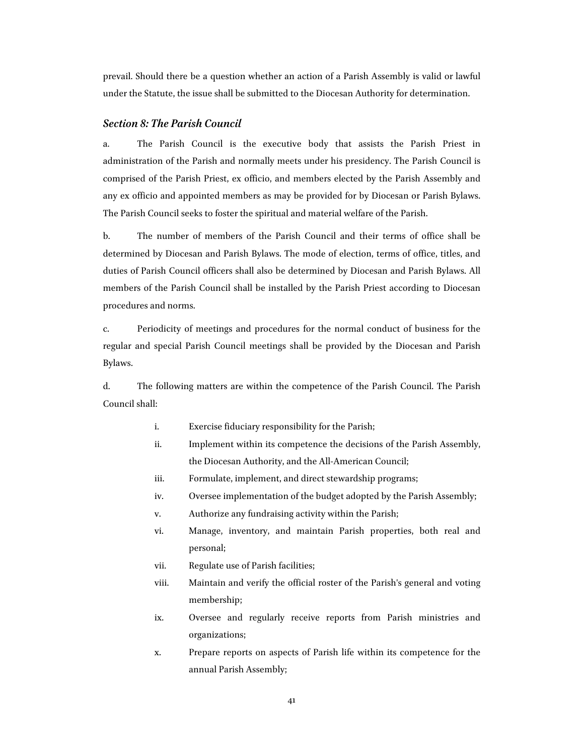prevail. Should there be a question whether an action of a Parish Assembly is valid or lawful under the Statute, the issue shall be submitted to the Diocesan Authority for determination.

# *Section 8: The Parish Council*

a. The Parish Council is the executive body that assists the Parish Priest in administration of the Parish and normally meets under his presidency. The Parish Council is comprised of the Parish Priest, ex officio, and members elected by the Parish Assembly and any ex officio and appointed members as may be provided for by Diocesan or Parish Bylaws. The Parish Council seeks to foster the spiritual and material welfare of the Parish.

b. The number of members of the Parish Council and their terms of office shall be determined by Diocesan and Parish Bylaws. The mode of election, terms of office, titles, and duties of Parish Council officers shall also be determined by Diocesan and Parish Bylaws. All members of the Parish Council shall be installed by the Parish Priest according to Diocesan procedures and norms.

c. Periodicity of meetings and procedures for the normal conduct of business for the regular and special Parish Council meetings shall be provided by the Diocesan and Parish Bylaws.

d. The following matters are within the competence of the Parish Council. The Parish Council shall:

- i. Exercise fiduciary responsibility for the Parish;
- ii. Implement within its competence the decisions of the Parish Assembly, the Diocesan Authority, and the All-American Council;
- iii. Formulate, implement, and direct stewardship programs;
- iv. Oversee implementation of the budget adopted by the Parish Assembly;
- v. Authorize any fundraising activity within the Parish;
- vi. Manage, inventory, and maintain Parish properties, both real and personal;
- vii. Regulate use of Parish facilities;
- viii. Maintain and verify the official roster of the Parish's general and voting membership;
- ix. Oversee and regularly receive reports from Parish ministries and organizations;
- x. Prepare reports on aspects of Parish life within its competence for the annual Parish Assembly;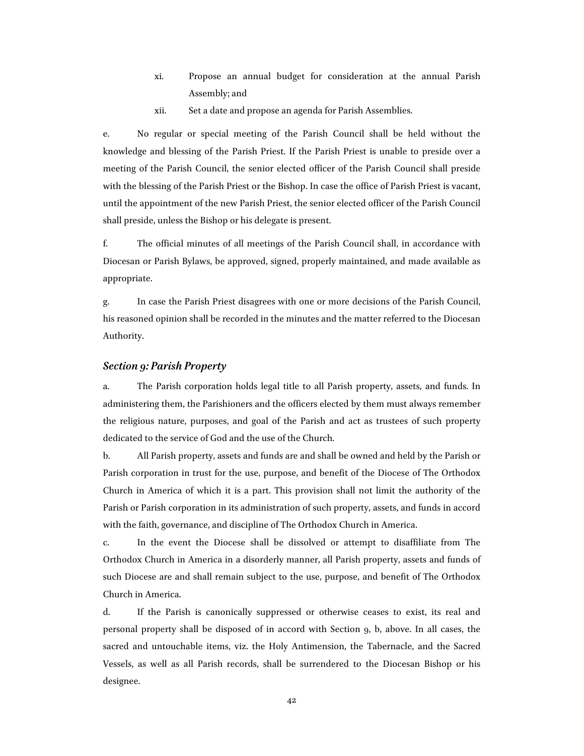- xi. Propose an annual budget for consideration at the annual Parish Assembly; and
- xii. Set a date and propose an agenda for Parish Assemblies.

e. No regular or special meeting of the Parish Council shall be held without the knowledge and blessing of the Parish Priest. If the Parish Priest is unable to preside over a meeting of the Parish Council, the senior elected officer of the Parish Council shall preside with the blessing of the Parish Priest or the Bishop. In case the office of Parish Priest is vacant, until the appointment of the new Parish Priest, the senior elected officer of the Parish Council shall preside, unless the Bishop or his delegate is present.

f. The official minutes of all meetings of the Parish Council shall, in accordance with Diocesan or Parish Bylaws, be approved, signed, properly maintained, and made available as appropriate.

g. In case the Parish Priest disagrees with one or more decisions of the Parish Council, his reasoned opinion shall be recorded in the minutes and the matter referred to the Diocesan Authority.

#### *Section 9: Parish Property*

a. The Parish corporation holds legal title to all Parish property, assets, and funds. In administering them, the Parishioners and the officers elected by them must always remember the religious nature, purposes, and goal of the Parish and act as trustees of such property dedicated to the service of God and the use of the Church.

b. All Parish property, assets and funds are and shall be owned and held by the Parish or Parish corporation in trust for the use, purpose, and benefit of the Diocese of The Orthodox Church in America of which it is a part. This provision shall not limit the authority of the Parish or Parish corporation in its administration of such property, assets, and funds in accord with the faith, governance, and discipline of The Orthodox Church in America.

c. In the event the Diocese shall be dissolved or attempt to disaffiliate from The Orthodox Church in America in a disorderly manner, all Parish property, assets and funds of such Diocese are and shall remain subject to the use, purpose, and benefit of The Orthodox Church in America.

d. If the Parish is canonically suppressed or otherwise ceases to exist, its real and personal property shall be disposed of in accord with Section 9, b, above. In all cases, the sacred and untouchable items, viz. the Holy Antimension, the Tabernacle, and the Sacred Vessels, as well as all Parish records, shall be surrendered to the Diocesan Bishop or his designee.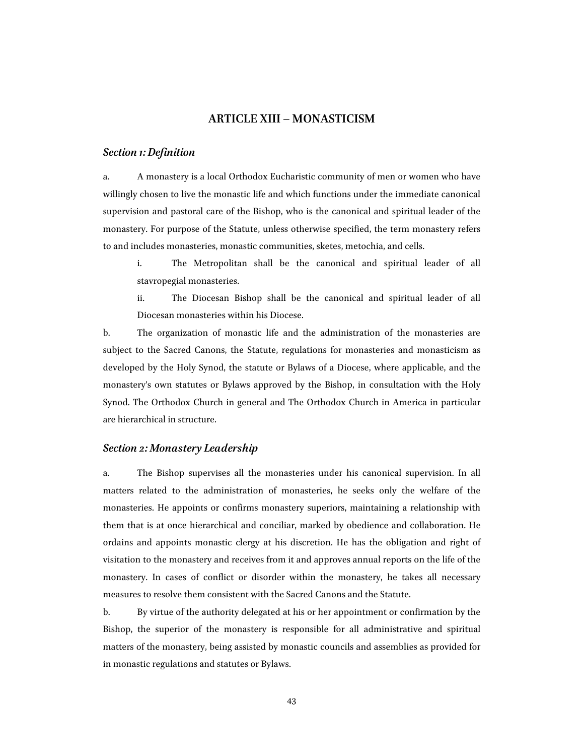# **ARTICLE XIII – MONASTICISM**

#### *Section 1: Definition*

a. A monastery is a local Orthodox Eucharistic community of men or women who have willingly chosen to live the monastic life and which functions under the immediate canonical supervision and pastoral care of the Bishop, who is the canonical and spiritual leader of the monastery. For purpose of the Statute, unless otherwise specified, the term monastery refers to and includes monasteries, monastic communities, sketes, metochia, and cells.

i. The Metropolitan shall be the canonical and spiritual leader of all stavropegial monasteries.

ii. The Diocesan Bishop shall be the canonical and spiritual leader of all Diocesan monasteries within his Diocese.

b. The organization of monastic life and the administration of the monasteries are subject to the Sacred Canons, the Statute, regulations for monasteries and monasticism as developed by the Holy Synod, the statute or Bylaws of a Diocese, where applicable, and the monastery's own statutes or Bylaws approved by the Bishop, in consultation with the Holy Synod. The Orthodox Church in general and The Orthodox Church in America in particular are hierarchical in structure.

#### *Section 2: Monastery Leadership*

a. The Bishop supervises all the monasteries under his canonical supervision. In all matters related to the administration of monasteries, he seeks only the welfare of the monasteries. He appoints or confirms monastery superiors, maintaining a relationship with them that is at once hierarchical and conciliar, marked by obedience and collaboration. He ordains and appoints monastic clergy at his discretion. He has the obligation and right of visitation to the monastery and receives from it and approves annual reports on the life of the monastery. In cases of conflict or disorder within the monastery, he takes all necessary measures to resolve them consistent with the Sacred Canons and the Statute.

b. By virtue of the authority delegated at his or her appointment or confirmation by the Bishop, the superior of the monastery is responsible for all administrative and spiritual matters of the monastery, being assisted by monastic councils and assemblies as provided for in monastic regulations and statutes or Bylaws.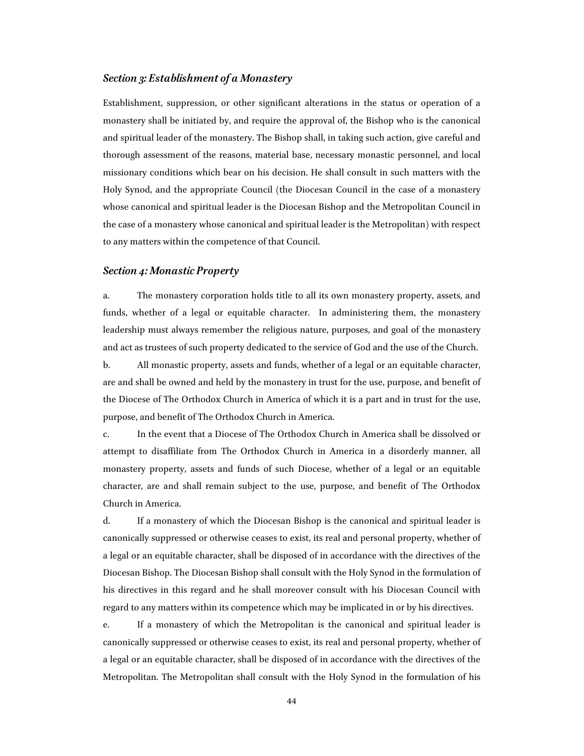# *Section 3: Establishment of a Monastery*

Establishment, suppression, or other significant alterations in the status or operation of a monastery shall be initiated by, and require the approval of, the Bishop who is the canonical and spiritual leader of the monastery. The Bishop shall, in taking such action, give careful and thorough assessment of the reasons, material base, necessary monastic personnel, and local missionary conditions which bear on his decision. He shall consult in such matters with the Holy Synod, and the appropriate Council (the Diocesan Council in the case of a monastery whose canonical and spiritual leader is the Diocesan Bishop and the Metropolitan Council in the case of a monastery whose canonical and spiritual leader is the Metropolitan) with respect to any matters within the competence of that Council.

#### *Section 4: Monastic Property*

a. The monastery corporation holds title to all its own monastery property, assets, and funds, whether of a legal or equitable character. In administering them, the monastery leadership must always remember the religious nature, purposes, and goal of the monastery and act as trustees of such property dedicated to the service of God and the use of the Church.

b. All monastic property, assets and funds, whether of a legal or an equitable character, are and shall be owned and held by the monastery in trust for the use, purpose, and benefit of the Diocese of The Orthodox Church in America of which it is a part and in trust for the use, purpose, and benefit of The Orthodox Church in America.

c. In the event that a Diocese of The Orthodox Church in America shall be dissolved or attempt to disaffiliate from The Orthodox Church in America in a disorderly manner, all monastery property, assets and funds of such Diocese, whether of a legal or an equitable character, are and shall remain subject to the use, purpose, and benefit of The Orthodox Church in America.

d. If a monastery of which the Diocesan Bishop is the canonical and spiritual leader is canonically suppressed or otherwise ceases to exist, its real and personal property, whether of a legal or an equitable character, shall be disposed of in accordance with the directives of the Diocesan Bishop. The Diocesan Bishop shall consult with the Holy Synod in the formulation of his directives in this regard and he shall moreover consult with his Diocesan Council with regard to any matters within its competence which may be implicated in or by his directives.

e. If a monastery of which the Metropolitan is the canonical and spiritual leader is canonically suppressed or otherwise ceases to exist, its real and personal property, whether of a legal or an equitable character, shall be disposed of in accordance with the directives of the Metropolitan. The Metropolitan shall consult with the Holy Synod in the formulation of his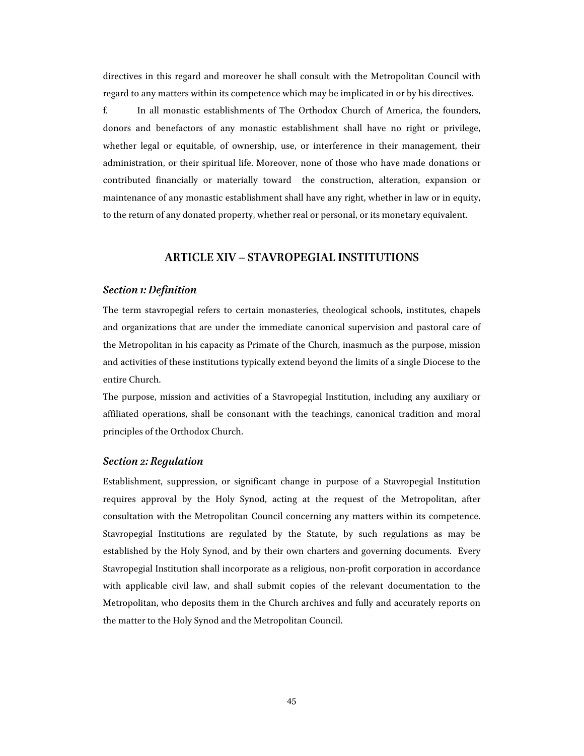directives in this regard and moreover he shall consult with the Metropolitan Council with regard to any matters within its competence which may be implicated in or by his directives.

f. In all monastic establishments of The Orthodox Church of America, the founders, donors and benefactors of any monastic establishment shall have no right or privilege, whether legal or equitable, of ownership, use, or interference in their management, their administration, or their spiritual life. Moreover, none of those who have made donations or contributed financially or materially toward the construction, alteration, expansion or maintenance of any monastic establishment shall have any right, whether in law or in equity, to the return of any donated property, whether real or personal, or its monetary equivalent.

# **ARTICLE XIV – STAVROPEGIAL INSTITUTIONS**

#### *Section 1: Definition*

The term stavropegial refers to certain monasteries, theological schools, institutes, chapels and organizations that are under the immediate canonical supervision and pastoral care of the Metropolitan in his capacity as Primate of the Church, inasmuch as the purpose, mission and activities of these institutions typically extend beyond the limits of a single Diocese to the entire Church.

The purpose, mission and activities of a Stavropegial Institution, including any auxiliary or affiliated operations, shall be consonant with the teachings, canonical tradition and moral principles of the Orthodox Church.

# *Section 2: Regulation*

Establishment, suppression, or significant change in purpose of a Stavropegial Institution requires approval by the Holy Synod, acting at the request of the Metropolitan, after consultation with the Metropolitan Council concerning any matters within its competence. Stavropegial Institutions are regulated by the Statute, by such regulations as may be established by the Holy Synod, and by their own charters and governing documents. Every Stavropegial Institution shall incorporate as a religious, non-profit corporation in accordance with applicable civil law, and shall submit copies of the relevant documentation to the Metropolitan, who deposits them in the Church archives and fully and accurately reports on the matter to the Holy Synod and the Metropolitan Council.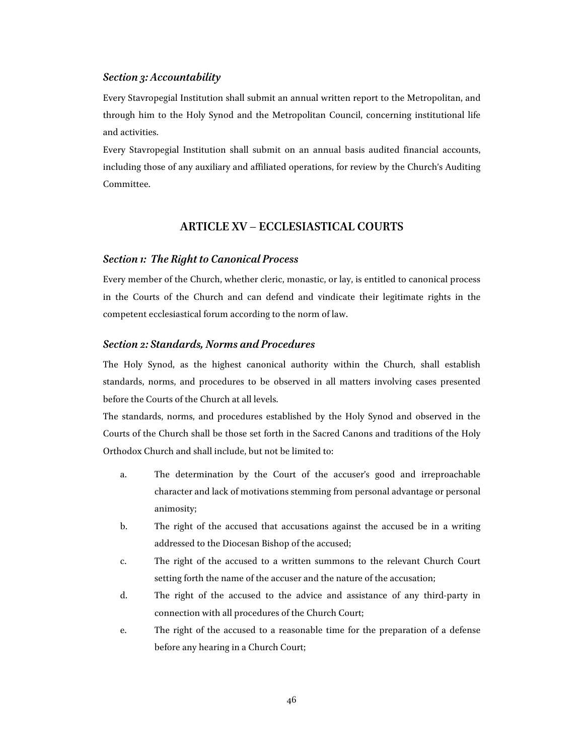# *Section 3: Accountability*

Every Stavropegial Institution shall submit an annual written report to the Metropolitan, and through him to the Holy Synod and the Metropolitan Council, concerning institutional life and activities.

Every Stavropegial Institution shall submit on an annual basis audited financial accounts, including those of any auxiliary and affiliated operations, for review by the Church's Auditing Committee.

# **ARTICLE XV – ECCLESIASTICAL COURTS**

#### *Section 1: The Right to Canonical Process*

Every member of the Church, whether cleric, monastic, or lay, is entitled to canonical process in the Courts of the Church and can defend and vindicate their legitimate rights in the competent ecclesiastical forum according to the norm of law.

#### *Section 2: Standards, Norms and Procedures*

The Holy Synod, as the highest canonical authority within the Church, shall establish standards, norms, and procedures to be observed in all matters involving cases presented before the Courts of the Church at all levels.

The standards, norms, and procedures established by the Holy Synod and observed in the Courts of the Church shall be those set forth in the Sacred Canons and traditions of the Holy Orthodox Church and shall include, but not be limited to:

- a. The determination by the Court of the accuser's good and irreproachable character and lack of motivations stemming from personal advantage or personal animosity;
- b. The right of the accused that accusations against the accused be in a writing addressed to the Diocesan Bishop of the accused;
- c. The right of the accused to a written summons to the relevant Church Court setting forth the name of the accuser and the nature of the accusation;
- d. The right of the accused to the advice and assistance of any third-party in connection with all procedures of the Church Court;
- e. The right of the accused to a reasonable time for the preparation of a defense before any hearing in a Church Court;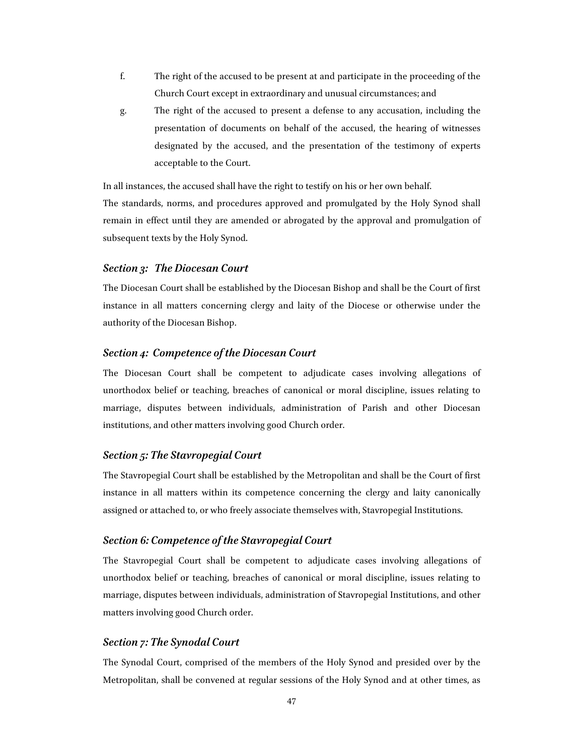- f. The right of the accused to be present at and participate in the proceeding of the Church Court except in extraordinary and unusual circumstances; and
- g. The right of the accused to present a defense to any accusation, including the presentation of documents on behalf of the accused, the hearing of witnesses designated by the accused, and the presentation of the testimony of experts acceptable to the Court.

In all instances, the accused shall have the right to testify on his or her own behalf. The standards, norms, and procedures approved and promulgated by the Holy Synod shall remain in effect until they are amended or abrogated by the approval and promulgation of subsequent texts by the Holy Synod.

#### *Section 3: The Diocesan Court*

The Diocesan Court shall be established by the Diocesan Bishop and shall be the Court of first instance in all matters concerning clergy and laity of the Diocese or otherwise under the authority of the Diocesan Bishop.

#### *Section 4: Competence of the Diocesan Court*

The Diocesan Court shall be competent to adjudicate cases involving allegations of unorthodox belief or teaching, breaches of canonical or moral discipline, issues relating to marriage, disputes between individuals, administration of Parish and other Diocesan institutions, and other matters involving good Church order.

# *Section 5: The Stavropegial Court*

The Stavropegial Court shall be established by the Metropolitan and shall be the Court of first instance in all matters within its competence concerning the clergy and laity canonically assigned or attached to, or who freely associate themselves with, Stavropegial Institutions.

# *Section 6: Competence of the Stavropegial Court*

The Stavropegial Court shall be competent to adjudicate cases involving allegations of unorthodox belief or teaching, breaches of canonical or moral discipline, issues relating to marriage, disputes between individuals, administration of Stavropegial Institutions, and other matters involving good Church order.

# *Section 7: The Synodal Court*

The Synodal Court, comprised of the members of the Holy Synod and presided over by the Metropolitan, shall be convened at regular sessions of the Holy Synod and at other times, as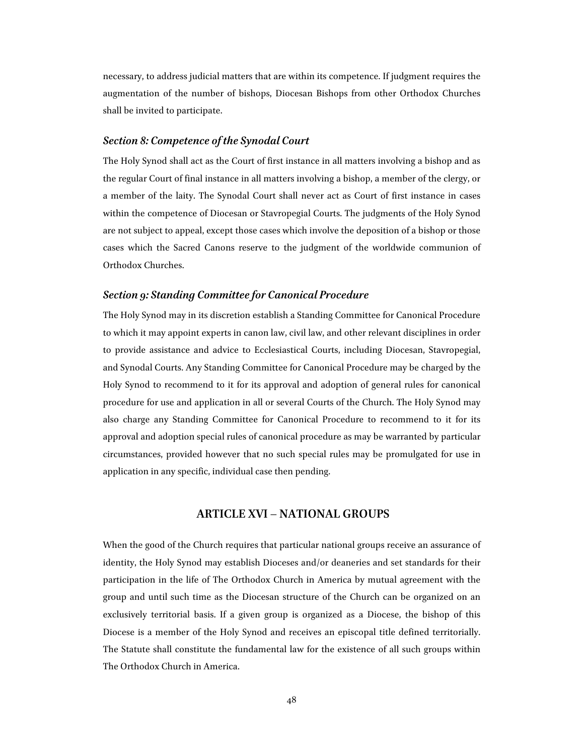necessary, to address judicial matters that are within its competence. If judgment requires the augmentation of the number of bishops, Diocesan Bishops from other Orthodox Churches shall be invited to participate.

### *Section 8: Competence of the Synodal Court*

The Holy Synod shall act as the Court of first instance in all matters involving a bishop and as the regular Court of final instance in all matters involving a bishop, a member of the clergy, or a member of the laity. The Synodal Court shall never act as Court of first instance in cases within the competence of Diocesan or Stavropegial Courts. The judgments of the Holy Synod are not subject to appeal, except those cases which involve the deposition of a bishop or those cases which the Sacred Canons reserve to the judgment of the worldwide communion of Orthodox Churches.

### *Section 9: Standing Committee for Canonical Procedure*

The Holy Synod may in its discretion establish a Standing Committee for Canonical Procedure to which it may appoint experts in canon law, civil law, and other relevant disciplines in order to provide assistance and advice to Ecclesiastical Courts, including Diocesan, Stavropegial, and Synodal Courts. Any Standing Committee for Canonical Procedure may be charged by the Holy Synod to recommend to it for its approval and adoption of general rules for canonical procedure for use and application in all or several Courts of the Church. The Holy Synod may also charge any Standing Committee for Canonical Procedure to recommend to it for its approval and adoption special rules of canonical procedure as may be warranted by particular circumstances, provided however that no such special rules may be promulgated for use in application in any specific, individual case then pending.

# **ARTICLE XVI – NATIONAL GROUPS**

When the good of the Church requires that particular national groups receive an assurance of identity, the Holy Synod may establish Dioceses and/or deaneries and set standards for their participation in the life of The Orthodox Church in America by mutual agreement with the group and until such time as the Diocesan structure of the Church can be organized on an exclusively territorial basis. If a given group is organized as a Diocese, the bishop of this Diocese is a member of the Holy Synod and receives an episcopal title defined territorially. The Statute shall constitute the fundamental law for the existence of all such groups within The Orthodox Church in America.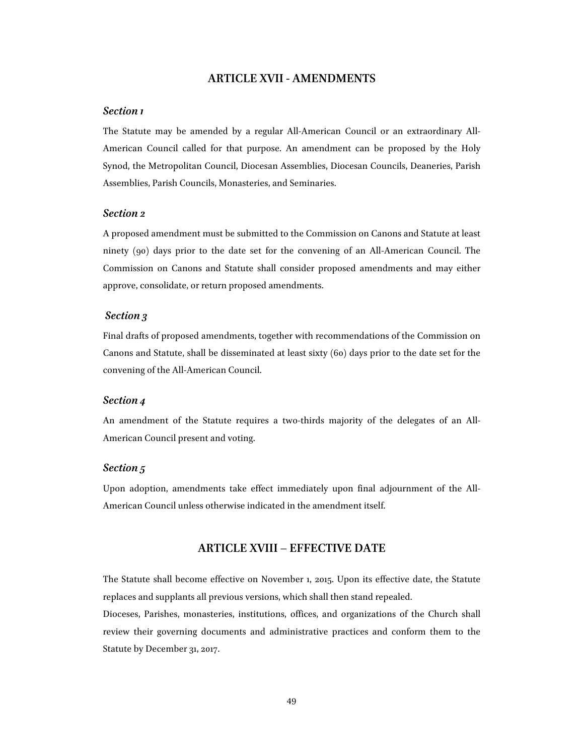# **ARTICLE XVII - AMENDMENTS**

# *Section 1*

The Statute may be amended by a regular All-American Council or an extraordinary All-American Council called for that purpose. An amendment can be proposed by the Holy Synod, the Metropolitan Council, Diocesan Assemblies, Diocesan Councils, Deaneries, Parish Assemblies, Parish Councils, Monasteries, and Seminaries.

#### *Section 2*

A proposed amendment must be submitted to the Commission on Canons and Statute at least ninety (90) days prior to the date set for the convening of an All-American Council. The Commission on Canons and Statute shall consider proposed amendments and may either approve, consolidate, or return proposed amendments.

# *Section 3*

Final drafts of proposed amendments, together with recommendations of the Commission on Canons and Statute, shall be disseminated at least sixty (60) days prior to the date set for the convening of the All-American Council.

# *Section 4*

An amendment of the Statute requires a two-thirds majority of the delegates of an All-American Council present and voting.

#### *Section 5*

Upon adoption, amendments take effect immediately upon final adjournment of the All-American Council unless otherwise indicated in the amendment itself.

# **ARTICLE XVIII – EFFECTIVE DATE**

The Statute shall become effective on November 1, 2015. Upon its effective date, the Statute replaces and supplants all previous versions, which shall then stand repealed.

Dioceses, Parishes, monasteries, institutions, offices, and organizations of the Church shall review their governing documents and administrative practices and conform them to the Statute by December 31, 2017.